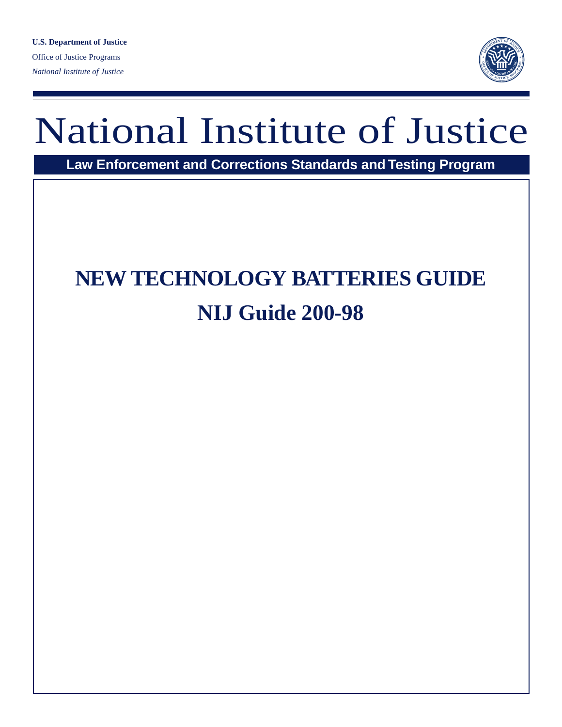

# National Institute of Justice

**Law Enforcement and Corrections Standards and Testing Program**

# **NEW TECHNOLOGY BATTERIES GUIDE NIJ Guide 200-98**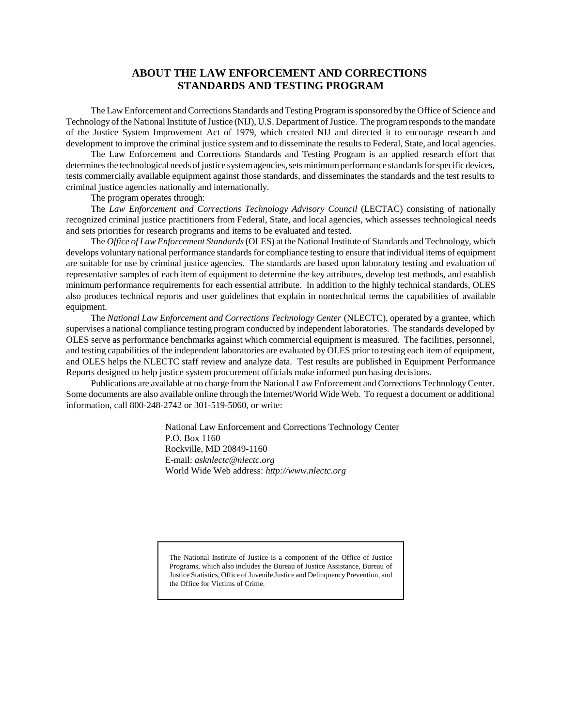#### **ABOUT THE LAW ENFORCEMENT AND CORRECTIONS STANDARDS AND TESTING PROGRAM**

The Law Enforcement and Corrections Standards and Testing Program is sponsored by the Office of Science and Technology of the National Institute of Justice (NIJ), U.S. Department of Justice. The program responds to the mandate of the Justice System Improvement Act of 1979, which created NIJ and directed it to encourage research and development to improve the criminal justice system and to disseminate the results to Federal, State, and local agencies.

The Law Enforcement and Corrections Standards and Testing Program is an applied research effort that determines the technological needs of justice system agencies, sets minimum performance standards for specific devices, tests commercially available equipment against those standards, and disseminates the standards and the test results to criminal justice agencies nationally and internationally.

The program operates through:

The *Law Enforcement and Corrections Technology Advisory Council* (LECTAC) consisting of nationally recognized criminal justice practitioners from Federal, State, and local agencies, which assesses technological needs and sets priorities for research programs and items to be evaluated and tested.

The *Office of Law Enforcement Standards* (OLES) at the National Institute of Standards and Technology, which develops voluntary national performance standards for compliance testing to ensure that individual items of equipment are suitable for use by criminal justice agencies. The standards are based upon laboratory testing and evaluation of representative samples of each item of equipment to determine the key attributes, develop test methods, and establish minimum performance requirements for each essential attribute. In addition to the highly technical standards, OLES also produces technical reports and user guidelines that explain in nontechnical terms the capabilities of available equipment.

The *National Law Enforcement and Corrections Technology Center* (NLECTC), operated by a grantee, which supervises a national compliance testing program conducted by independent laboratories. The standards developed by OLES serve as performance benchmarks against which commercial equipment is measured. The facilities, personnel, and testing capabilities of the independent laboratories are evaluated by OLES prior to testing each item of equipment, and OLES helps the NLECTC staff review and analyze data. Test results are published in Equipment Performance Reports designed to help justice system procurement officials make informed purchasing decisions.

Publications are available at no charge from the National Law Enforcement and Corrections Technology Center. Some documents are also available online through the Internet/World Wide Web. To request a document or additional information, call 800-248-2742 or 301-519-5060, or write:

> National Law Enforcement and Corrections Technology Center P.O. Box 1160 Rockville, MD 20849-1160 E-mail: *asknlectc@nlectc.org* World Wide Web address: *http://www.nlectc.org*

The National Institute of Justice is a component of the Office of Justice Programs, which also includes the Bureau of Justice Assistance, Bureau of Justice Statistics, Office of Juvenile Justice and Delinquency Prevention, and the Office for Victims of Crime.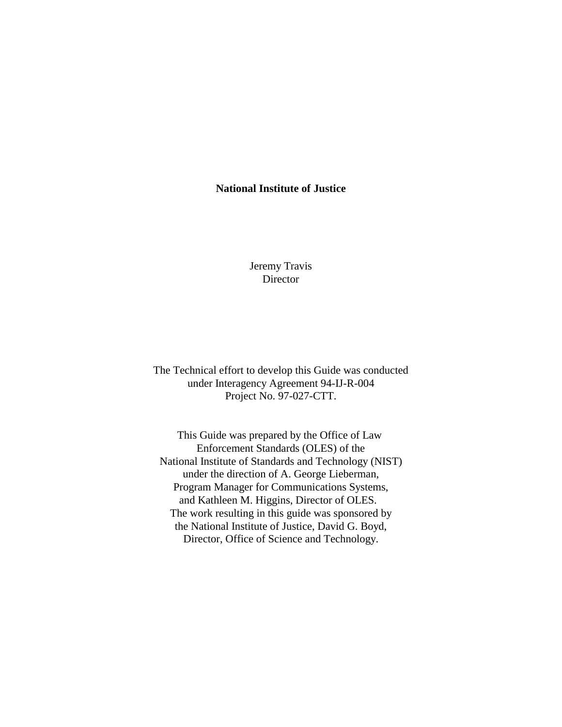# **National Institute of Justice**

Jeremy Travis **Director** 

The Technical effort to develop this Guide was conducted under Interagency Agreement 94-IJ-R-004 Project No. 97-027-CTT.

This Guide was prepared by the Office of Law Enforcement Standards (OLES) of the National Institute of Standards and Technology (NIST) under the direction of A. George Lieberman, Program Manager for Communications Systems, and Kathleen M. Higgins, Director of OLES. The work resulting in this guide was sponsored by the National Institute of Justice, David G. Boyd, Director, Office of Science and Technology.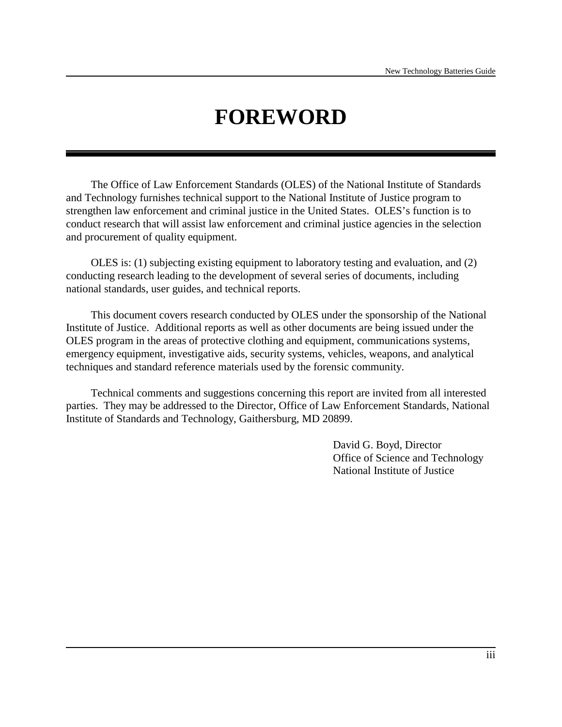# **FOREWORD**

The Office of Law Enforcement Standards (OLES) of the National Institute of Standards and Technology furnishes technical support to the National Institute of Justice program to strengthen law enforcement and criminal justice in the United States. OLES's function is to conduct research that will assist law enforcement and criminal justice agencies in the selection and procurement of quality equipment.

OLES is: (1) subjecting existing equipment to laboratory testing and evaluation, and (2) conducting research leading to the development of several series of documents, including national standards, user guides, and technical reports.

This document covers research conducted by OLES under the sponsorship of the National Institute of Justice. Additional reports as well as other documents are being issued under the OLES program in the areas of protective clothing and equipment, communications systems, emergency equipment, investigative aids, security systems, vehicles, weapons, and analytical techniques and standard reference materials used by the forensic community.

Technical comments and suggestions concerning this report are invited from all interested parties. They may be addressed to the Director, Office of Law Enforcement Standards, National Institute of Standards and Technology, Gaithersburg, MD 20899.

> David G. Boyd, Director Office of Science and Technology National Institute of Justice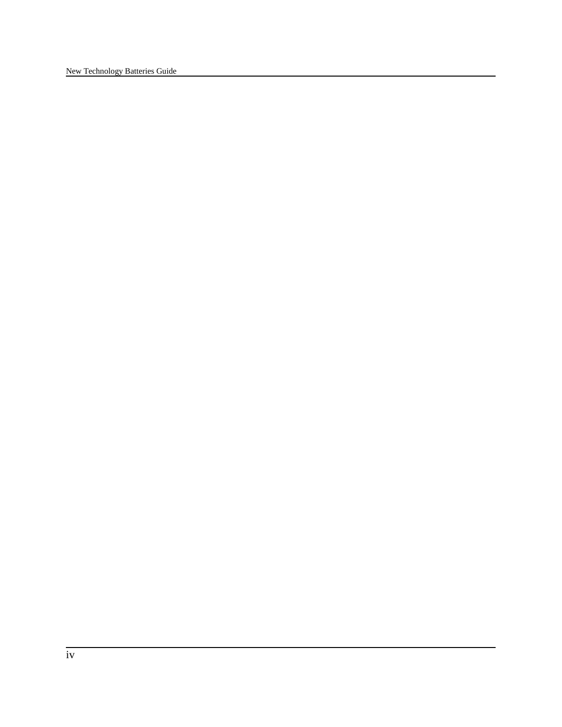New Technology Batteries Guide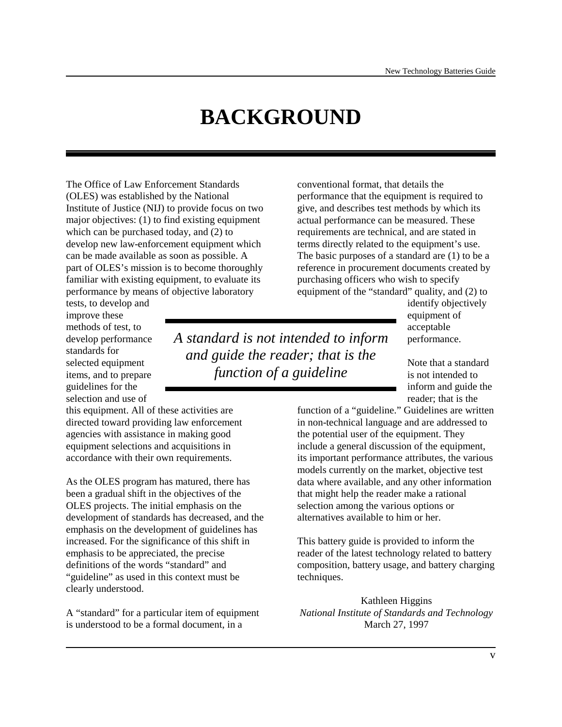# **BACKGROUND**

The Office of Law Enforcement Standards (OLES) was established by the National Institute of Justice (NIJ) to provide focus on two major objectives: (1) to find existing equipment which can be purchased today, and (2) to develop new law-enforcement equipment which can be made available as soon as possible. A part of OLES's mission is to become thoroughly familiar with existing equipment, to evaluate its performance by means of objective laboratory

conventional format, that details the performance that the equipment is required to give, and describes test methods by which its actual performance can be measured. These requirements are technical, and are stated in terms directly related to the equipment's use. The basic purposes of a standard are (1) to be a reference in procurement documents created by purchasing officers who wish to specify equipment of the "standard" quality, and (2) to

tests, to develop and improve these methods of test, to develop performance standards for selected equipment items, and to prepare guidelines for the selection and use of

*A standard is not intended to inform and guide the reader; that is the function of a guideline*

this equipment. All of these activities are directed toward providing law enforcement agencies with assistance in making good equipment selections and acquisitions in accordance with their own requirements.

As the OLES program has matured, there has been a gradual shift in the objectives of the OLES projects. The initial emphasis on the development of standards has decreased, and the emphasis on the development of guidelines has increased. For the significance of this shift in emphasis to be appreciated, the precise definitions of the words "standard" and "guideline" as used in this context must be clearly understood.

A "standard" for a particular item of equipment is understood to be a formal document, in a

identify objectively equipment of acceptable performance.

Note that a standard is not intended to inform and guide the reader; that is the

function of a "guideline." Guidelines are written in non-technical language and are addressed to the potential user of the equipment. They include a general discussion of the equipment, its important performance attributes, the various models currently on the market, objective test data where available, and any other information that might help the reader make a rational selection among the various options or alternatives available to him or her.

This battery guide is provided to inform the reader of the latest technology related to battery composition, battery usage, and battery charging techniques.

Kathleen Higgins *National Institute of Standards and Technology* March 27, 1997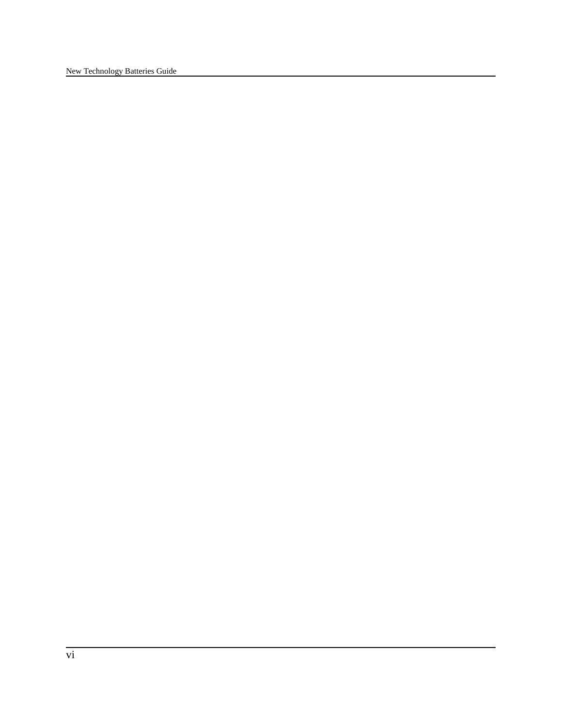New Technology Batteries Guide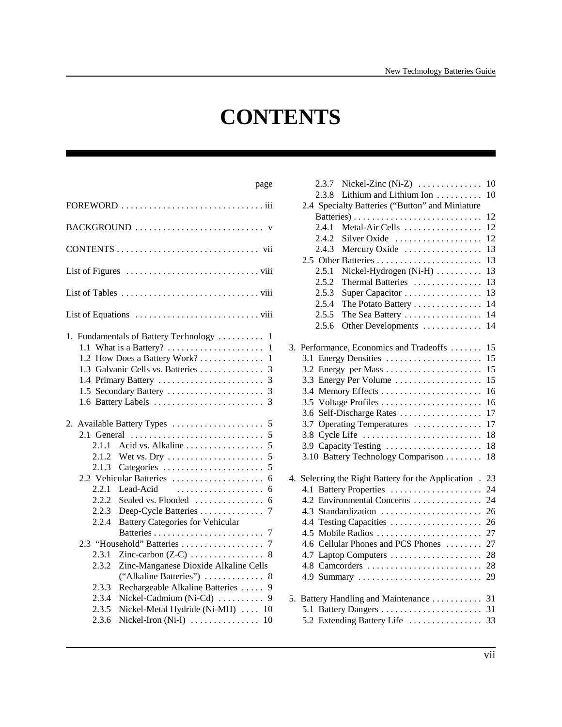# **CONTENTS**

| page                                                                                                                                                                                                                                                                                                                                                             |
|------------------------------------------------------------------------------------------------------------------------------------------------------------------------------------------------------------------------------------------------------------------------------------------------------------------------------------------------------------------|
|                                                                                                                                                                                                                                                                                                                                                                  |
|                                                                                                                                                                                                                                                                                                                                                                  |
|                                                                                                                                                                                                                                                                                                                                                                  |
|                                                                                                                                                                                                                                                                                                                                                                  |
|                                                                                                                                                                                                                                                                                                                                                                  |
|                                                                                                                                                                                                                                                                                                                                                                  |
| 1. Fundamentals of Battery Technology<br>1<br>1.1 What is a Battery?<br>1<br>1.2 How Does a Battery Work?<br>1<br>1.3 Galvanic Cells vs. Batteries<br>3<br>1.4 Primary Battery<br>3<br>1.5 Secondary Battery<br>3<br>1.6 Battery Labels<br>3                                                                                                                     |
| 2. Available Battery Types<br>5<br>2.1 General<br>5<br>2.1.1<br>Acid vs. Alkaline<br>5<br>5<br>2.1.2<br>2.1.3<br>5<br>Categories<br>2.2 Vehicular Batteries<br>6<br>2.2.1<br>Lead-Acid<br>6<br>.<br>2.2.2<br>Sealed vs. Flooded<br>6<br>2.2.3<br>Deep-Cycle Batteries<br>7<br>2.2.4<br><b>Battery Categories for Vehicular</b>                                   |
| 7<br>2.3 "Household" Batteries<br>7<br>2.3.1<br>Zinc-carbon $(Z-C)$<br>8<br>2.3.2<br>Zinc-Manganese Dioxide Alkaline Cells<br>("Alkaline Batteries")<br>8<br>2.3.3<br>Rechargeable Alkaline Batteries<br>9<br>2.3.4<br>Nickel-Cadmium (Ni-Cd)<br>9<br>2.3.5<br>Nickel-Metal Hydride (Ni-MH)<br>10<br>2.3.6<br>Nickel-Iron (Ni-I) $\dots \dots \dots \dots$<br>10 |

|    | Nickel-Zinc (Ni-Z) $\dots$<br>2.3.7              | 10       |
|----|--------------------------------------------------|----------|
|    | 2.3.8<br>Lithium and Lithium Ion                 | 10       |
|    | 2.4 Specialty Batteries ("Button" and Miniature  |          |
|    |                                                  | 12       |
|    | Metal-Air Cells<br>2.4.1                         | 12       |
|    | 2.4.2<br>Silver Oxide                            | 12       |
|    | 2.4.3<br>Mercury Oxide                           | 13       |
|    | 2.5 Other Batteries                              | 13       |
|    | 2.5.1<br>Nickel-Hydrogen (Ni-H)                  | 13       |
|    | 2.5.2<br>Thermal Batteries                       | 13       |
|    | 2.5.3<br>Super Capacitor                         | 13       |
|    | 2.5.4<br>The Potato Battery                      | 14       |
|    | 2.5.5<br>The Sea Battery                         | 14       |
|    | 2.5.6<br>Other Developments                      | 14       |
|    |                                                  |          |
| 3. | Performance, Economics and Tradeoffs             | 15       |
|    | 3.1 Energy Densities                             | 15       |
|    | 3.2 Energy per Mass                              | 15       |
|    | 3.3 Energy Per Volume                            | 15       |
|    | 3.4 Memory Effects                               | 16       |
|    | 3.5 Voltage Profiles                             | 16       |
|    | 3.6 Self-Discharge Rates                         | 17       |
|    | 3.7 Operating Temperatures                       | 17       |
|    | 3.8 Cycle Life                                   | 18       |
|    | 3.9 Capacity Testing                             | 18       |
|    | 3.10 Battery Technology Comparison               | 18       |
|    |                                                  |          |
| 4. | Selecting the Right Battery for the Application. | 23       |
|    | 4.1 Battery Properties                           | 24       |
|    | 4.2 Environmental Concerns                       | 24       |
|    | 4.3 Standardization                              | 26       |
|    | 4.4 Testing Capacities                           | 26       |
|    | 4.5 Mobile Radios                                | 27<br>27 |
|    | 4.6 Cellular Phones and PCS Phones               |          |
|    | 4.7 Laptop Computers<br>4.8 Camcorders           | 28<br>28 |
|    |                                                  |          |
|    | 4.9 Summary                                      | 29       |
| 5. | Battery Handling and Maintenance                 | 31       |
|    | 5.1 Battery Dangers                              | 31       |
|    | 5.2 Extending Battery Life                       | 33       |
|    |                                                  |          |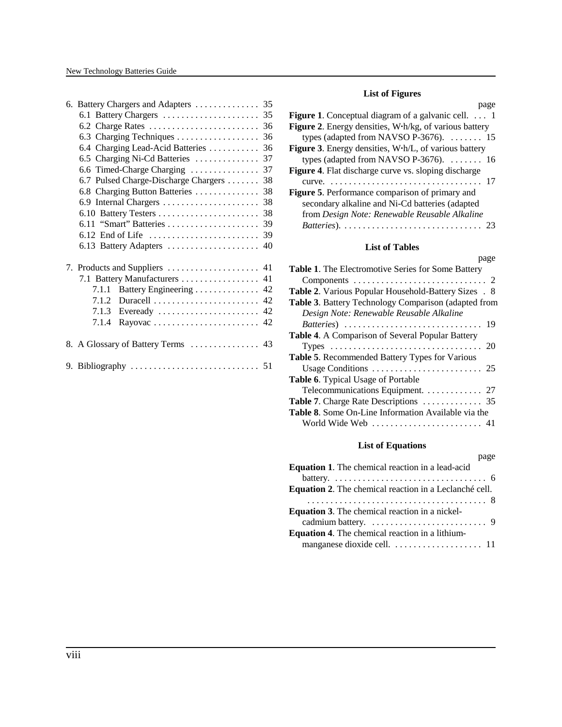| 6. Battery Chargers and Adapters  35 |    |
|--------------------------------------|----|
|                                      |    |
| 6.2 Charge Rates                     | 36 |
| 6.3 Charging Techniques              | 36 |
| 6.4 Charging Lead-Acid Batteries     | 36 |
| 6.5 Charging Ni-Cd Batteries         | 37 |
| 6.6 Timed-Charge Charging            | 37 |
| 6.7 Pulsed Charge-Discharge Chargers | 38 |
| 6.8 Charging Button Batteries        | 38 |
| 6.9 Internal Chargers                | 38 |
|                                      | 38 |
| 6.11 "Smart" Batteries               | 39 |
|                                      | 39 |
|                                      |    |
|                                      |    |
| 7.1 Battery Manufacturers  41        |    |
| 7.1.1 Battery Engineering            | 42 |
|                                      | 42 |
| $7.1.3$ Eveready                     | 42 |
| Rayovac<br>7.1.4                     | 42 |
|                                      |    |
| 8. A Glossary of Battery Terms  43   |    |
|                                      |    |

### **List of Figures**

| <b>List of Figures</b>                                                                    |
|-------------------------------------------------------------------------------------------|
| page                                                                                      |
| <b>Figure 1.</b> Conceptual diagram of a galvanic cell. 1                                 |
| <b>Figure 2.</b> Energy densities, W.h/kg, of various battery                             |
| types (adapted from NAVSO P-3676). $\dots$ 15                                             |
| <b>Figure 3.</b> Energy densities, W.h/L, of various battery                              |
| types (adapted from NAVSO P-3676). $\dots$ 16                                             |
| <b>Figure 4.</b> Flat discharge curve vs. sloping discharge                               |
|                                                                                           |
| <b>Figure 5.</b> Performance comparison of primary and                                    |
| secondary alkaline and Ni-Cd batteries (adapted                                           |
| from Design Note: Renewable Reusable Alkaline                                             |
| Batteries). $\ldots \ldots \ldots \ldots \ldots \ldots \ldots \ldots \ldots \ldots$<br>23 |
|                                                                                           |

#### **List of Tables**

#### page

| Table 1. The Electromotive Series for Some Battery                     |  |
|------------------------------------------------------------------------|--|
|                                                                        |  |
| Table 2. Various Popular Household-Battery Sizes . 8                   |  |
| Table 3. Battery Technology Comparison (adapted from                   |  |
| Design Note: Renewable Reusable Alkaline                               |  |
|                                                                        |  |
| Table 4. A Comparison of Several Popular Battery                       |  |
|                                                                        |  |
| Table 5. Recommended Battery Types for Various                         |  |
| Usage Conditions $\ldots \ldots \ldots \ldots \ldots \ldots \ldots$ 25 |  |
| Table 6. Typical Usage of Portable                                     |  |
| Telecommunications Equipment. 27                                       |  |
|                                                                        |  |
| <b>Table 8.</b> Some On-Line Information Available via the             |  |
| World Wide Web  41                                                     |  |
|                                                                        |  |

### **List of Equations**

|                                                               | page |
|---------------------------------------------------------------|------|
| Equation 1. The chemical reaction in a lead-acid              |      |
|                                                               |      |
| <b>Equation 2.</b> The chemical reaction in a Leclanché cell. |      |
|                                                               |      |
| <b>Equation 3.</b> The chemical reaction in a nickel-         |      |
|                                                               |      |
| <b>Equation 4.</b> The chemical reaction in a lithium-        |      |
|                                                               |      |
|                                                               |      |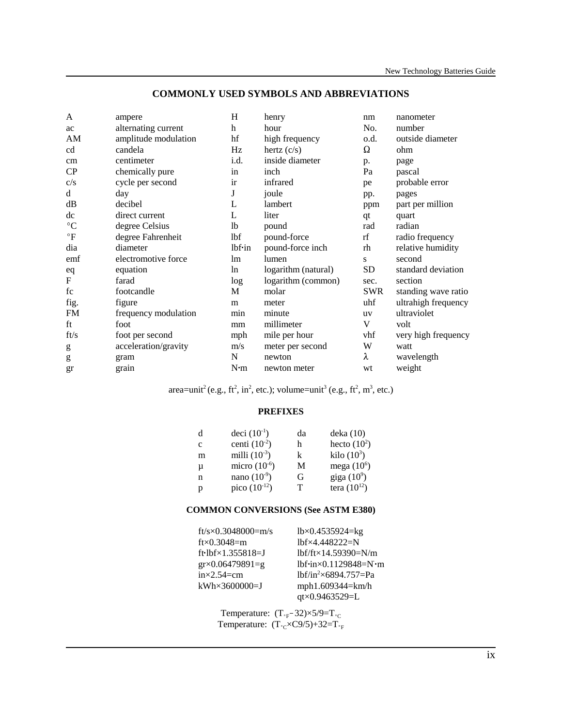| A                    | ampere               | H              | henry               | nm         | nanometer           |
|----------------------|----------------------|----------------|---------------------|------------|---------------------|
| ac                   | alternating current  | h              | hour                | No.        | number              |
| AM                   | amplitude modulation | hf             | high frequency      | o.d.       | outside diameter    |
| cd                   | candela              | Hz             | hertz $(c/s)$       | Ω          | ohm                 |
| cm                   | centimeter           | i.d.           | inside diameter     | p.         | page                |
| CP                   | chemically pure      | in             | inch                | Pa         | pascal              |
| c/s                  | cycle per second     | ir             | infrared            | pe         | probable error      |
| d                    | day                  | J              | joule               | pp.        | pages               |
| dB                   | decibel              | L              | lambert             | ppm        | part per million    |
| dc                   | direct current       | L              | liter               | qt         | quart               |
| $^{\circ}C$          | degree Celsius       | <sup>1</sup> b | pound               | rad        | radian              |
| $\mathrm{^{\circ}F}$ | degree Fahrenheit    | lbf            | pound-force         | rf         | radio frequency     |
| dia                  | diameter             | lbf in         | pound-force inch    | rh         | relative humidity   |
| emf                  | electromotive force  | <sub>lm</sub>  | lumen               | S          | second              |
| eq                   | equation             | ln             | logarithm (natural) | SD         | standard deviation  |
| F                    | farad                | log            | logarithm (common)  | sec.       | section             |
| fc                   | footcandle           | M              | molar               | SWR        | standing wave ratio |
| fig.                 | figure               | m              | meter               | uhf        | ultrahigh frequency |
| <b>FM</b>            | frequency modulation | min            | minute              | <b>u</b> V | ultraviolet         |
| ft                   | foot                 | mm             | millimeter          | V          | volt                |
| ft/s                 | foot per second      | mph            | mile per hour       | vhf        | very high frequency |
| g                    | acceleration/gravity | m/s            | meter per second    | W          | watt                |
| g                    | gram                 | N              | newton              | λ          | wavelength          |
| gr                   | grain                | $N \cdot m$    | newton meter        | wt         | weight              |

#### **COMMONLY USED SYMBOLS AND ABBREVIATIONS**

area=unit<sup>2</sup> (e.g., ft<sup>2</sup>, in<sup>2</sup>, etc.); volume=unit<sup>3</sup> (e.g., ft<sup>2</sup>, m<sup>3</sup>, etc.)

#### **PREFIXES**

| d | deci $(10^{-1})$  | da | deka(10)         |
|---|-------------------|----|------------------|
| C | centi $(10^{-2})$ | h  | hecto $(10^2)$   |
| m | milli $(10^{-3})$ | k  | kilo $(10^3)$    |
| μ | micro $(10^{-6})$ | М  | mega $(10^6)$    |
| n | nano $(10^{-9})$  | G  | giga $(10^9)$    |
| p | pico $(10^{-12})$ | т  | tera $(10^{12})$ |

#### **COMMON CONVERSIONS (See ASTM E380)**

|                        | $\mu$ alio (TO)                                         | ιı | $g$ iga (TO)                    |
|------------------------|---------------------------------------------------------|----|---------------------------------|
| p                      | pico $(10^{-12})$                                       | T  | tera $(10^{12})$                |
|                        | <b>DMMON CONVERSIONS (See ASTM E380)</b>                |    |                                 |
|                        | $ft/s \times 0.3048000 = m/s$                           |    | $lb \times 0.4535924 = kg$      |
| $ft \times 0.3048 = m$ |                                                         |    | $1hf \times 4.448222 = N$       |
|                        | ft lbf $\times$ 1.355818=J                              |    | $1bf/ftx14.59390=N/m$           |
|                        | $gr \times 0.06479891 = g$                              |    | lbf in $\times$ 0.1129848=N m   |
| $inx2.54 = cm$         |                                                         |    | $1bf/in^2 \times 6894.757 = Pa$ |
|                        | $kWh \times 3600000 = J$                                |    | mph1.609344=km/h                |
|                        |                                                         |    | qt×0.9463529=L                  |
|                        | Temperature: $(T_{\text{F}}-32)\times 5/9=T_{\text{F}}$ |    |                                 |
|                        |                                                         |    |                                 |

Temperature:  $(T_{\text{F}}-32)\times 5/9=T_{\text{F}}$ <br>Temperature:  $(T_{\text{F}}\times C9/5)+32=T_{\text{F}}$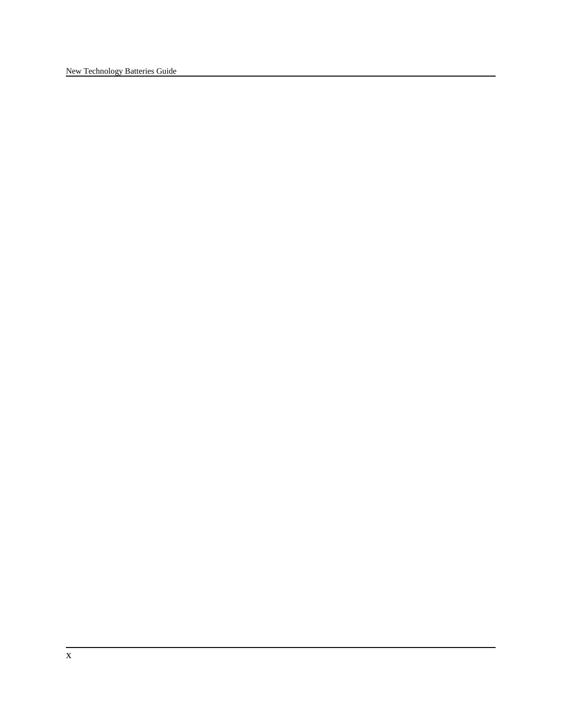New Technology Batteries Guide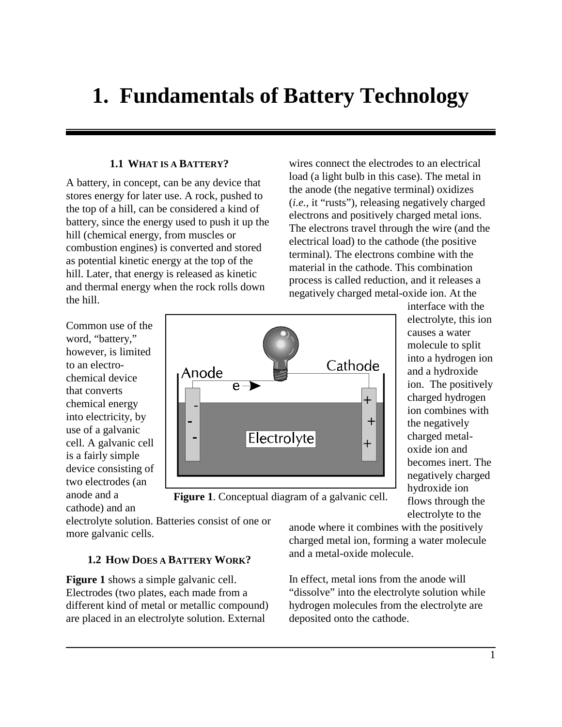# **1. Fundamentals of Battery Technology**

#### **1.1 WHAT IS A BATTERY?**

A battery, in concept, can be any device that stores energy for later use. A rock, pushed to the top of a hill, can be considered a kind of battery, since the energy used to push it up the hill (chemical energy, from muscles or combustion engines) is converted and stored as potential kinetic energy at the top of the hill. Later, that energy is released as kinetic and thermal energy when the rock rolls down the hill.

wires connect the electrodes to an electrical load (a light bulb in this case). The metal in the anode (the negative terminal) oxidizes (*i.e.*, it "rusts"), releasing negatively charged electrons and positively charged metal ions. The electrons travel through the wire (and the electrical load) to the cathode (the positive terminal). The electrons combine with the material in the cathode. This combination process is called reduction, and it releases a negatively charged metal-oxide ion. At the

Common use of the word, "battery," however, is limited to an electrochemical device that converts chemical energy into electricity, by use of a galvanic cell. A galvanic cell is a fairly simple device consisting of two electrodes (an anode and a cathode) and an



interface with the electrolyte, this ion causes a water molecule to split into a hydrogen ion and a hydroxide ion. The positively charged hydrogen ion combines with the negatively charged metaloxide ion and becomes inert. The negatively charged hydroxide ion flows through the electrolyte to the

**Figure 1**. Conceptual diagram of a galvanic cell.

electrolyte solution. Batteries consist of one or more galvanic cells.

### **1.2 HOW DOES A BATTERY WORK?**

**Figure 1** shows a simple galvanic cell. Electrodes (two plates, each made from a different kind of metal or metallic compound) are placed in an electrolyte solution. External

anode where it combines with the positively charged metal ion, forming a water molecule and a metal-oxide molecule.

In effect, metal ions from the anode will "dissolve" into the electrolyte solution while hydrogen molecules from the electrolyte are deposited onto the cathode.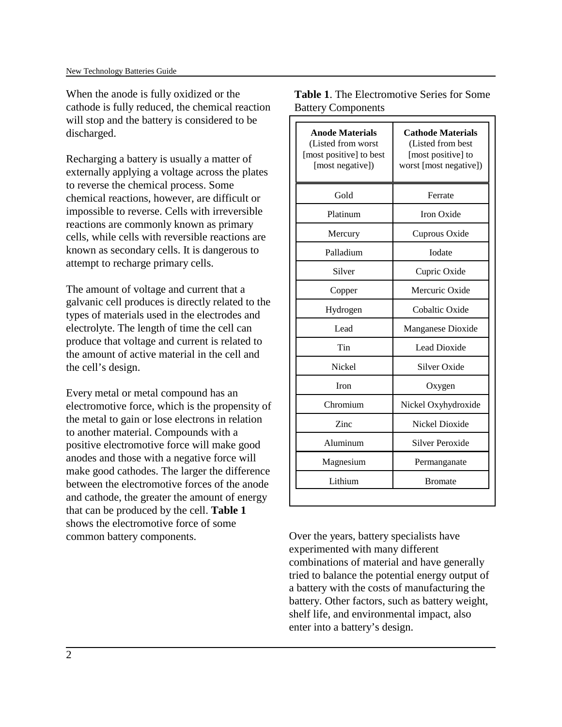When the anode is fully oxidized or the cathode is fully reduced, the chemical reaction will stop and the battery is considered to be discharged.

Recharging a battery is usually a matter of externally applying a voltage across the plates to reverse the chemical process. Some chemical reactions, however, are difficult or impossible to reverse. Cells with irreversible reactions are commonly known as primary cells, while cells with reversible reactions are known as secondary cells. It is dangerous to attempt to recharge primary cells.

The amount of voltage and current that a galvanic cell produces is directly related to the types of materials used in the electrodes and electrolyte. The length of time the cell can produce that voltage and current is related to the amount of active material in the cell and the cell's design.

Every metal or metal compound has an electromotive force, which is the propensity of the metal to gain or lose electrons in relation to another material. Compounds with a positive electromotive force will make good anodes and those with a negative force will make good cathodes. The larger the difference between the electromotive forces of the anode and cathode, the greater the amount of energy that can be produced by the cell. **Table 1** shows the electromotive force of some common battery components. Over the years, battery specialists have

**Table 1**. The Electromotive Series for Some Battery Components

| <b>Anode Materials</b><br>(Listed from worst<br>[most positive] to best<br>[most negative]) | <b>Cathode Materials</b><br>(Listed from best<br>[most positive] to<br>worst [most negative]) |
|---------------------------------------------------------------------------------------------|-----------------------------------------------------------------------------------------------|
| Gold                                                                                        | Ferrate                                                                                       |
| Platinum                                                                                    | <b>Iron Oxide</b>                                                                             |
| Mercury                                                                                     | Cuprous Oxide                                                                                 |
| Palladium                                                                                   | <b>I</b> odate                                                                                |
| Silver                                                                                      | Cupric Oxide                                                                                  |
| Copper                                                                                      | Mercuric Oxide                                                                                |
| Hydrogen                                                                                    | Cobaltic Oxide                                                                                |
| Lead                                                                                        | Manganese Dioxide                                                                             |
| Tin                                                                                         | <b>Lead Dioxide</b>                                                                           |
| Nickel                                                                                      | Silver Oxide                                                                                  |
| Iron                                                                                        | Oxygen                                                                                        |
| Chromium                                                                                    | Nickel Oxyhydroxide                                                                           |
| Zinc                                                                                        | Nickel Dioxide                                                                                |
| Aluminum                                                                                    | Silver Peroxide                                                                               |
| Magnesium                                                                                   | Permanganate                                                                                  |
| Lithium                                                                                     | <b>Bromate</b>                                                                                |

experimented with many different combinations of material and have generally tried to balance the potential energy output of a battery with the costs of manufacturing the battery. Other factors, such as battery weight, shelf life, and environmental impact, also enter into a battery's design.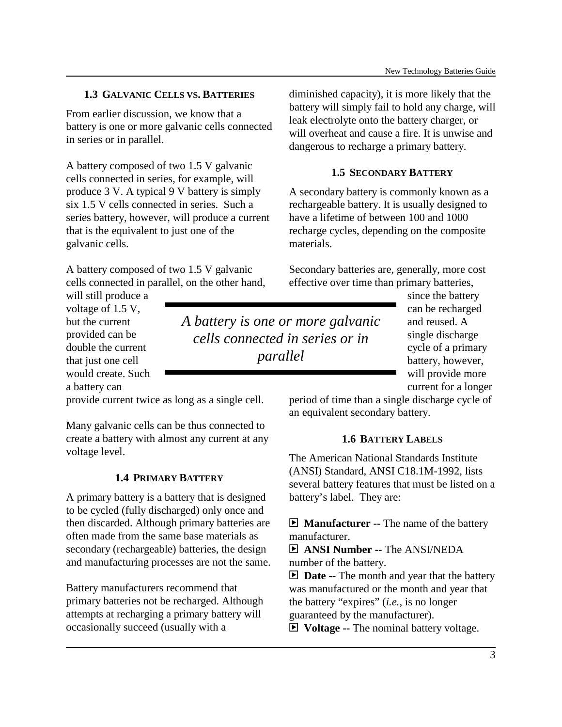#### **1.3 GALVANIC CELLS VS. BATTERIES**

From earlier discussion, we know that a battery is one or more galvanic cells connected in series or in parallel.

A battery composed of two 1.5 V galvanic cells connected in series, for example, will produce 3 V. A typical 9 V battery is simply six 1.5 V cells connected in series. Such a series battery, however, will produce a current that is the equivalent to just one of the galvanic cells.

A battery composed of two 1.5 V galvanic cells connected in parallel, on the other hand,

will still produce a voltage of 1.5 V, but the current provided can be double the current that just one cell would create. Such a battery can

provide current twice as long as a single cell.

Many galvanic cells can be thus connected to create a battery with almost any current at any voltage level.

#### **1.4 PRIMARY BATTERY**

A primary battery is a battery that is designed to be cycled (fully discharged) only once and then discarded. Although primary batteries are often made from the same base materials as secondary (rechargeable) batteries, the design and manufacturing processes are not the same.

Battery manufacturers recommend that primary batteries not be recharged. Although attempts at recharging a primary battery will occasionally succeed (usually with a

diminished capacity), it is more likely that the battery will simply fail to hold any charge, will leak electrolyte onto the battery charger, or will overheat and cause a fire. It is unwise and dangerous to recharge a primary battery.

#### **1.5 SECONDARY BATTERY**

A secondary battery is commonly known as a rechargeable battery. It is usually designed to have a lifetime of between 100 and 1000 recharge cycles, depending on the composite materials.

Secondary batteries are, generally, more cost effective over time than primary batteries,

*A battery is one or more galvanic cells connected in series or in parallel*

since the battery can be recharged and reused. A single discharge cycle of a primary battery, however, will provide more current for a longer

period of time than a single discharge cycle of an equivalent secondary battery.

#### **1.6 BATTERY LABELS**

The American National Standards Institute (ANSI) Standard, ANSI C18.1M-1992, lists several battery features that must be listed on a battery's label. They are:

**■ Manufacturer --** The name of the battery manufacturer.

\_ **ANSI Number --** The ANSI/NEDA number of the battery.

**■ Date --** The month and year that the battery was manufactured or the month and year that the battery "expires" (*i.e.*, is no longer guaranteed by the manufacturer).

**■ Voltage --** The nominal battery voltage.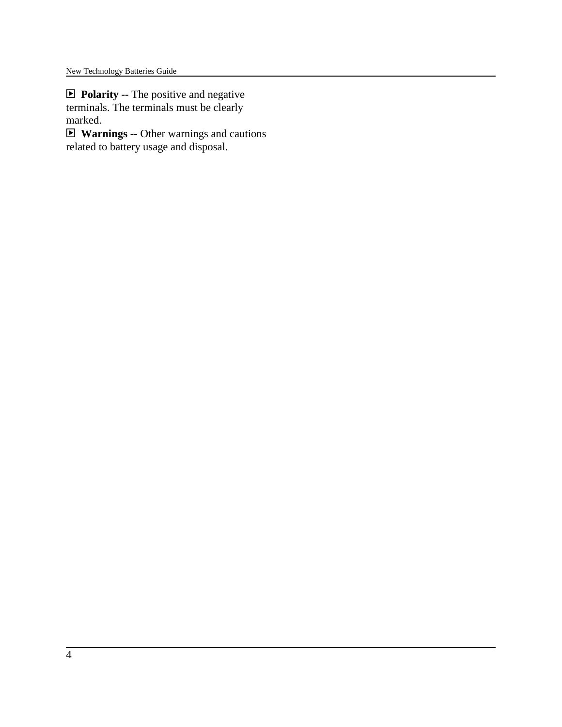**P** Polarity -- The positive and negative terminals. The terminals must be clearly marked.

\_ **Warnings --** Other warnings and cautions related to battery usage and disposal.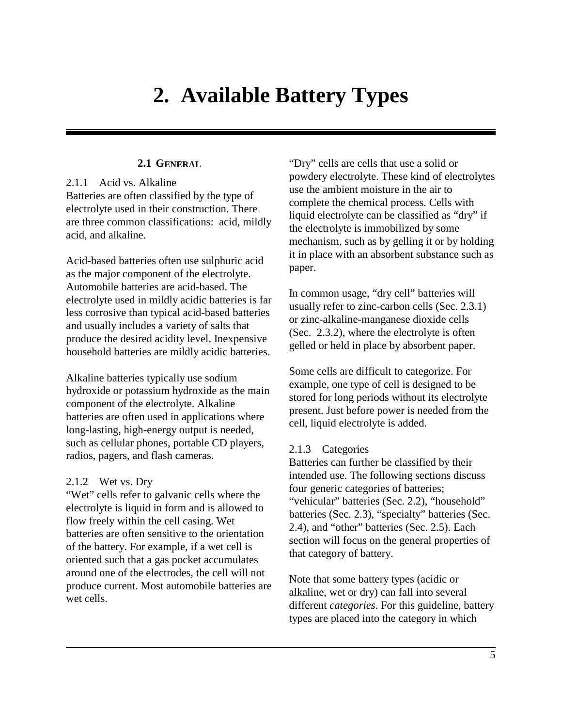# **2. Available Battery Types**

### **2.1 GENERAL**

2.1.1 Acid vs. Alkaline Batteries are often classified by the type of electrolyte used in their construction. There are three common classifications: acid, mildly acid, and alkaline.

Acid-based batteries often use sulphuric acid as the major component of the electrolyte. Automobile batteries are acid-based. The electrolyte used in mildly acidic batteries is far less corrosive than typical acid-based batteries and usually includes a variety of salts that produce the desired acidity level. Inexpensive household batteries are mildly acidic batteries.

Alkaline batteries typically use sodium hydroxide or potassium hydroxide as the main component of the electrolyte. Alkaline batteries are often used in applications where long-lasting, high-energy output is needed, such as cellular phones, portable CD players, radios, pagers, and flash cameras.

#### 2.1.2 Wet vs. Dry

"Wet" cells refer to galvanic cells where the electrolyte is liquid in form and is allowed to flow freely within the cell casing. Wet batteries are often sensitive to the orientation of the battery. For example, if a wet cell is oriented such that a gas pocket accumulates around one of the electrodes, the cell will not produce current. Most automobile batteries are wet cells.

"Dry" cells are cells that use a solid or powdery electrolyte. These kind of electrolytes use the ambient moisture in the air to complete the chemical process. Cells with liquid electrolyte can be classified as "dry" if the electrolyte is immobilized by some mechanism, such as by gelling it or by holding it in place with an absorbent substance such as paper.

In common usage, "dry cell" batteries will usually refer to zinc-carbon cells (Sec. 2.3.1) or zinc-alkaline-manganese dioxide cells (Sec. 2.3.2), where the electrolyte is often gelled or held in place by absorbent paper.

Some cells are difficult to categorize. For example, one type of cell is designed to be stored for long periods without its electrolyte present. Just before power is needed from the cell, liquid electrolyte is added.

# 2.1.3 Categories

Batteries can further be classified by their intended use. The following sections discuss four generic categories of batteries; "vehicular" batteries (Sec. 2.2), "household" batteries (Sec. 2.3), "specialty" batteries (Sec. 2.4), and "other" batteries (Sec. 2.5). Each section will focus on the general properties of that category of battery.

Note that some battery types (acidic or alkaline, wet or dry) can fall into several different *categories*. For this guideline, battery types are placed into the category in which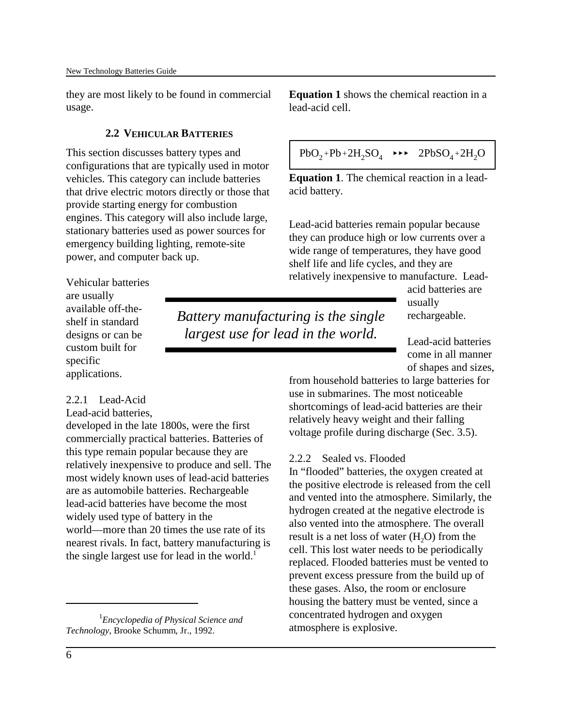they are most likely to be found in commercial usage.

#### **2.2 VEHICULAR BATTERIES**

This section discusses battery types and configurations that are typically used in motor vehicles. This category can include batteries that drive electric motors directly or those that provide starting energy for combustion engines. This category will also include large, stationary batteries used as power sources for emergency building lighting, remote-site power, and computer back up.

Vehicular batteries are usually available off-theshelf in standard designs or can be custom built for specific applications.

*Battery manufacturing is the single largest use for lead in the world.*

### 2.2.1 Lead-Acid

Lead-acid batteries,

developed in the late 1800s, were the first commercially practical batteries. Batteries of this type remain popular because they are relatively inexpensive to produce and sell. The most widely known uses of lead-acid batteries are as automobile batteries. Rechargeable lead-acid batteries have become the most widely used type of battery in the world—more than 20 times the use rate of its nearest rivals. In fact, battery manufacturing is the single largest use for lead in the world.<sup>1</sup>

**Equation 1** shows the chemical reaction in a lead-acid cell.

$$
PbO_2 + Pb + 2H_2SO_4 \longrightarrow 2PbSO_4 + 2H_2O
$$

**Equation 1**. The chemical reaction in a leadacid battery.

Lead-acid batteries remain popular because they can produce high or low currents over a wide range of temperatures, they have good shelf life and life cycles, and they are relatively inexpensive to manufacture. Lead-

> acid batteries are usually rechargeable.

Lead-acid batteries come in all manner of shapes and sizes,

from household batteries to large batteries for use in submarines. The most noticeable shortcomings of lead-acid batteries are their relatively heavy weight and their falling voltage profile during discharge (Sec. 3.5).

#### 2.2.2 Sealed vs. Flooded

In "flooded" batteries, the oxygen created at the positive electrode is released from the cell and vented into the atmosphere. Similarly, the hydrogen created at the negative electrode is also vented into the atmosphere. The overall result is a net loss of water  $(H<sub>2</sub>O)$  from the cell. This lost water needs to be periodically replaced. Flooded batteries must be vented to prevent excess pressure from the build up of these gases. Also, the room or enclosure housing the battery must be vented, since a concentrated hydrogen and oxygen atmosphere is explosive.

<sup>1</sup> *Encyclopedia of Physical Science and Technology*, Brooke Schumm, Jr., 1992.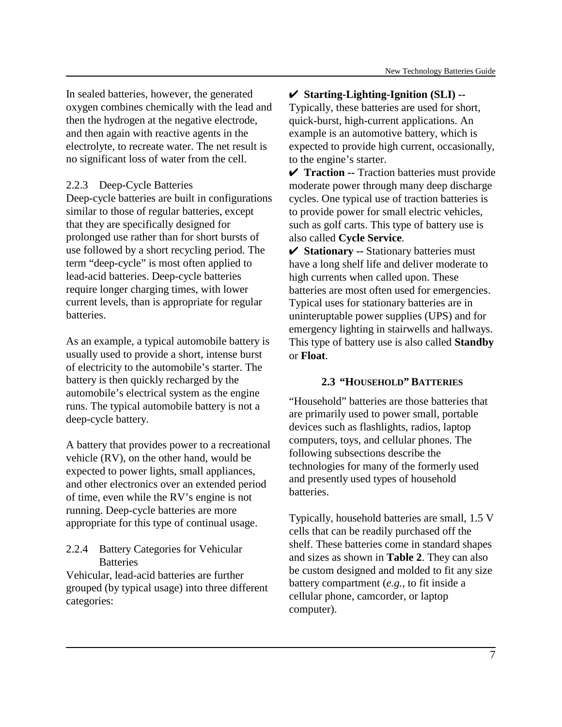In sealed batteries, however, the generated oxygen combines chemically with the lead and then the hydrogen at the negative electrode, and then again with reactive agents in the electrolyte, to recreate water. The net result is no significant loss of water from the cell.

# 2.2.3 Deep-Cycle Batteries

Deep-cycle batteries are built in configurations similar to those of regular batteries, except that they are specifically designed for prolonged use rather than for short bursts of use followed by a short recycling period. The term "deep-cycle" is most often applied to lead-acid batteries. Deep-cycle batteries require longer charging times, with lower current levels, than is appropriate for regular batteries.

As an example, a typical automobile battery is usually used to provide a short, intense burst of electricity to the automobile's starter. The battery is then quickly recharged by the automobile's electrical system as the engine runs. The typical automobile battery is not a deep-cycle battery.

A battery that provides power to a recreational vehicle (RV), on the other hand, would be expected to power lights, small appliances, and other electronics over an extended period of time, even while the RV's engine is not running. Deep-cycle batteries are more appropriate for this type of continual usage.

# 2.2.4 Battery Categories for Vehicular **Batteries**

Vehicular, lead-acid batteries are further grouped (by typical usage) into three different categories:

# 8 **Starting-Lighting-Ignition (SLI) --**

Typically, these batteries are used for short, quick-burst, high-current applications. An example is an automotive battery, which is expected to provide high current, occasionally, to the engine's starter.

8 **Traction --** Traction batteries must provide moderate power through many deep discharge cycles. One typical use of traction batteries is to provide power for small electric vehicles, such as golf carts. This type of battery use is also called **Cycle Service**.

8 **Stationary --** Stationary batteries must have a long shelf life and deliver moderate to high currents when called upon. These batteries are most often used for emergencies. Typical uses for stationary batteries are in uninteruptable power supplies (UPS) and for emergency lighting in stairwells and hallways. This type of battery use is also called **Standby** or **Float**.

# **2.3 "HOUSEHOLD" BATTERIES**

"Household" batteries are those batteries that are primarily used to power small, portable devices such as flashlights, radios, laptop computers, toys, and cellular phones. The following subsections describe the technologies for many of the formerly used and presently used types of household batteries.

Typically, household batteries are small, 1.5 V cells that can be readily purchased off the shelf. These batteries come in standard shapes and sizes as shown in **Table 2**. They can also be custom designed and molded to fit any size battery compartment (*e.g.*, to fit inside a cellular phone, camcorder, or laptop computer).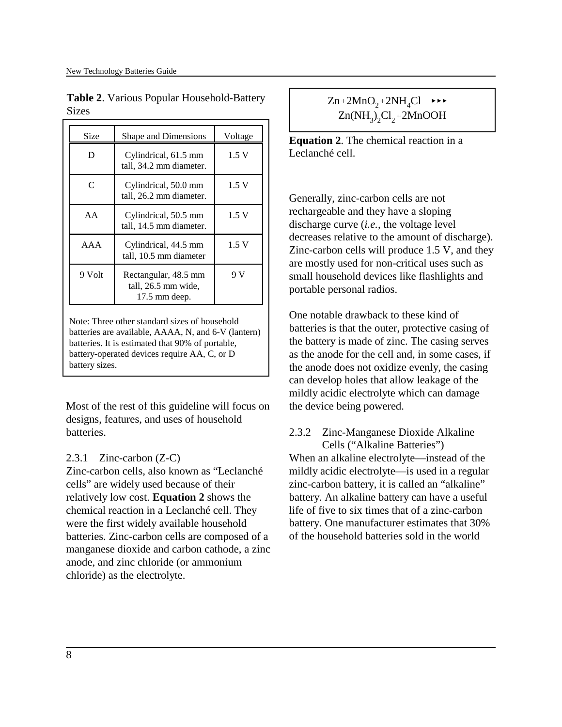| Size   | Shape and Dimensions                                                   | Voltage          |
|--------|------------------------------------------------------------------------|------------------|
| D      | Cylindrical, 61.5 mm<br>tall, 34.2 mm diameter.                        | 1.5 V            |
|        | Cylindrical, 50.0 mm<br>tall, 26.2 mm diameter.                        | 1.5V             |
| AA     | Cylindrical, 50.5 mm<br>tall, 14.5 mm diameter.                        | 1.5 <sub>V</sub> |
| AAA    | Cylindrical, 44.5 mm<br>tall, 10.5 mm diameter                         | 1.5 V            |
| 9 Volt | Rectangular, 48.5 mm<br>tall, 26.5 mm wide,<br>$17.5 \text{ mm}$ deep. | 9 V              |

**Table 2**. Various Popular Household-Battery Sizes

Note: Three other standard sizes of household batteries are available, AAAA, N, and 6-V (lantern) batteries. It is estimated that 90% of portable, battery-operated devices require AA, C, or D battery sizes.

Most of the rest of this guideline will focus on designs, features, and uses of household batteries.

# 2.3.1 Zinc-carbon (Z-C)

Zinc-carbon cells, also known as "Leclanché cells" are widely used because of their relatively low cost. **Equation 2** shows the chemical reaction in a Leclanché cell. They were the first widely available household batteries. Zinc-carbon cells are composed of a manganese dioxide and carbon cathode, a zinc anode, and zinc chloride (or ammonium chloride) as the electrolyte.

# $Zn+2MnO_2+2NH_4Cl$  $Zn(NH_3)_2Cl_2 + 2MnOOH$

**Equation 2**. The chemical reaction in a Leclanché cell.

Generally, zinc-carbon cells are not rechargeable and they have a sloping discharge curve (*i.e.*, the voltage level decreases relative to the amount of discharge). Zinc-carbon cells will produce 1.5 V, and they are mostly used for non-critical uses such as small household devices like flashlights and portable personal radios.

One notable drawback to these kind of batteries is that the outer, protective casing of the battery is made of zinc. The casing serves as the anode for the cell and, in some cases, if the anode does not oxidize evenly, the casing can develop holes that allow leakage of the mildly acidic electrolyte which can damage the device being powered.

### 2.3.2 Zinc-Manganese Dioxide Alkaline Cells ("Alkaline Batteries")

When an alkaline electrolyte—instead of the mildly acidic electrolyte—is used in a regular zinc-carbon battery, it is called an "alkaline" battery. An alkaline battery can have a useful life of five to six times that of a zinc-carbon battery. One manufacturer estimates that 30% of the household batteries sold in the world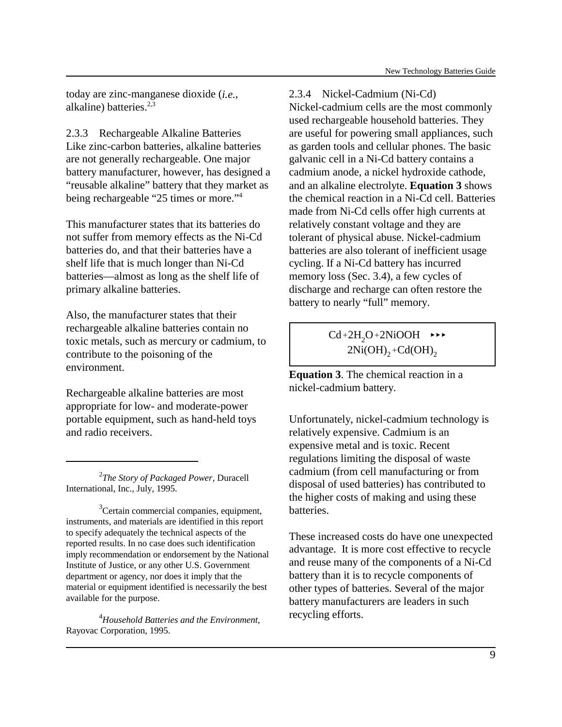today are zinc-manganese dioxide (*i.e.*, alkaline) batteries. $2,3$ 

2.3.3 Rechargeable Alkaline Batteries Like zinc-carbon batteries, alkaline batteries are not generally rechargeable. One major battery manufacturer, however, has designed a "reusable alkaline" battery that they market as being rechargeable "25 times or more."4

This manufacturer states that its batteries do not suffer from memory effects as the Ni-Cd batteries do, and that their batteries have a shelf life that is much longer than Ni-Cd batteries—almost as long as the shelf life of primary alkaline batteries.

Also, the manufacturer states that their rechargeable alkaline batteries contain no toxic metals, such as mercury or cadmium, to contribute to the poisoning of the environment.

Rechargeable alkaline batteries are most appropriate for low- and moderate-power portable equipment, such as hand-held toys and radio receivers.

2 *The Story of Packaged Power*, Duracell International, Inc., July, 1995.

<sup>3</sup>Certain commercial companies, equipment, instruments, and materials are identified in this report to specify adequately the technical aspects of the reported results. In no case does such identification imply recommendation or endorsement by the National Institute of Justice, or any other U.S. Government department or agency, nor does it imply that the material or equipment identified is necessarily the best available for the purpose.

4 *Household Batteries and the Environment*, Rayovac Corporation, 1995.

2.3.4 Nickel-Cadmium (Ni-Cd) Nickel-cadmium cells are the most commonly used rechargeable household batteries. They are useful for powering small appliances, such as garden tools and cellular phones. The basic galvanic cell in a Ni-Cd battery contains a cadmium anode, a nickel hydroxide cathode, and an alkaline electrolyte. **Equation 3** shows the chemical reaction in a Ni-Cd cell. Batteries made from Ni-Cd cells offer high currents at relatively constant voltage and they are tolerant of physical abuse. Nickel-cadmium batteries are also tolerant of inefficient usage cycling. If a Ni-Cd battery has incurred memory loss (Sec. 3.4), a few cycles of discharge and recharge can often restore the battery to nearly "full" memory.

# $Cd + 2H_2O + 2NiOOH$  $2Ni(OH)_{2} + Cd(OH)_{2}$

**Equation 3**. The chemical reaction in a nickel-cadmium battery.

Unfortunately, nickel-cadmium technology is relatively expensive. Cadmium is an expensive metal and is toxic. Recent regulations limiting the disposal of waste cadmium (from cell manufacturing or from disposal of used batteries) has contributed to the higher costs of making and using these batteries.

These increased costs do have one unexpected advantage. It is more cost effective to recycle and reuse many of the components of a Ni-Cd battery than it is to recycle components of other types of batteries. Several of the major battery manufacturers are leaders in such recycling efforts.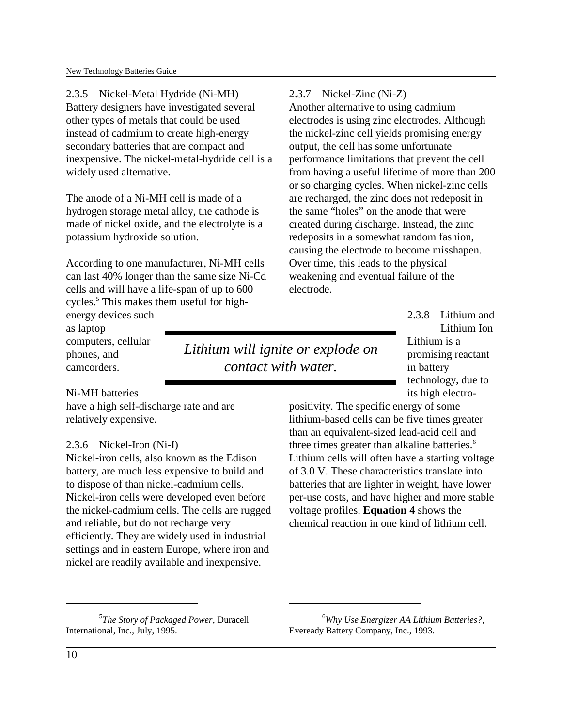2.3.5 Nickel-Metal Hydride (Ni-MH) Battery designers have investigated several other types of metals that could be used instead of cadmium to create high-energy secondary batteries that are compact and inexpensive. The nickel-metal-hydride cell is a widely used alternative.

The anode of a Ni-MH cell is made of a hydrogen storage metal alloy, the cathode is made of nickel oxide, and the electrolyte is a potassium hydroxide solution.

According to one manufacturer, Ni-MH cells can last 40% longer than the same size Ni-Cd cells and will have a life-span of up to 600 cycles.<sup>5</sup> This makes them useful for high-

energy devices such as laptop computers, cellular phones, and camcorders.

*Lithium will ignite or explode on contact with water.*

#### Ni-MH batteries

have a high self-discharge rate and are relatively expensive.

# 2.3.6 Nickel-Iron (Ni-I)

Nickel-iron cells, also known as the Edison battery, are much less expensive to build and to dispose of than nickel-cadmium cells. Nickel-iron cells were developed even before the nickel-cadmium cells. The cells are rugged and reliable, but do not recharge very efficiently. They are widely used in industrial settings and in eastern Europe, where iron and nickel are readily available and inexpensive.

#### 2.3.7 Nickel-Zinc (Ni-Z)

Another alternative to using cadmium electrodes is using zinc electrodes. Although the nickel-zinc cell yields promising energy output, the cell has some unfortunate performance limitations that prevent the cell from having a useful lifetime of more than 200 or so charging cycles. When nickel-zinc cells are recharged, the zinc does not redeposit in the same "holes" on the anode that were created during discharge. Instead, the zinc redeposits in a somewhat random fashion, causing the electrode to become misshapen. Over time, this leads to the physical weakening and eventual failure of the electrode.

> 2.3.8 Lithium and Lithium Ion Lithium is a promising reactant in battery technology, due to its high electro-

positivity. The specific energy of some lithium-based cells can be five times greater than an equivalent-sized lead-acid cell and three times greater than alkaline batteries.<sup>6</sup> Lithium cells will often have a starting voltage of 3.0 V. These characteristics translate into batteries that are lighter in weight, have lower per-use costs, and have higher and more stable voltage profiles. **Equation 4** shows the chemical reaction in one kind of lithium cell.

6 *Why Use Energizer AA Lithium Batteries?*, Eveready Battery Company, Inc., 1993.

<sup>5</sup> *The Story of Packaged Power*, Duracell International, Inc., July, 1995.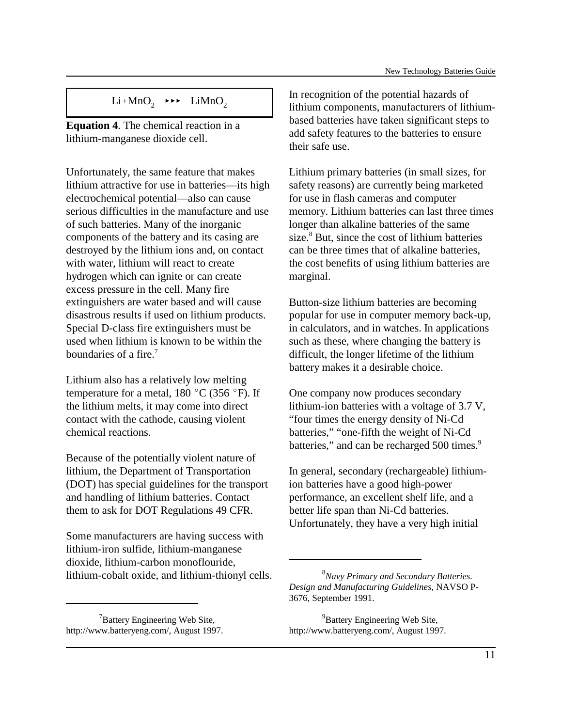# Li+MnO<sub>2</sub>  $\rightarrow \rightarrow \rightarrow$  LiMnO<sub>2</sub>

**Equation 4**. The chemical reaction in a lithium-manganese dioxide cell.

Unfortunately, the same feature that makes lithium attractive for use in batteries—its high electrochemical potential—also can cause serious difficulties in the manufacture and use of such batteries. Many of the inorganic components of the battery and its casing are destroyed by the lithium ions and, on contact with water, lithium will react to create hydrogen which can ignite or can create excess pressure in the cell. Many fire extinguishers are water based and will cause disastrous results if used on lithium products. Special D-class fire extinguishers must be used when lithium is known to be within the boundaries of a fire.<sup>7</sup>

Lithium also has a relatively low melting temperature for a metal,  $180^{\circ}$ C (356 °F). If the lithium melts, it may come into direct contact with the cathode, causing violent chemical reactions.

Because of the potentially violent nature of lithium, the Department of Transportation (DOT) has special guidelines for the transport and handling of lithium batteries. Contact them to ask for DOT Regulations 49 CFR.

Some manufacturers are having success with lithium-iron sulfide, lithium-manganese dioxide, lithium-carbon monoflouride, lithium-cobalt oxide, and lithium-thionyl cells.

<sup>7</sup>Battery Engineering Web Site, http://www.batteryeng.com/, August 1997. In recognition of the potential hazards of lithium components, manufacturers of lithiumbased batteries have taken significant steps to add safety features to the batteries to ensure their safe use.

Lithium primary batteries (in small sizes, for safety reasons) are currently being marketed for use in flash cameras and computer memory. Lithium batteries can last three times longer than alkaline batteries of the same size.<sup>8</sup> But, since the cost of lithium batteries can be three times that of alkaline batteries, the cost benefits of using lithium batteries are marginal.

Button-size lithium batteries are becoming popular for use in computer memory back-up, in calculators, and in watches. In applications such as these, where changing the battery is difficult, the longer lifetime of the lithium battery makes it a desirable choice.

One company now produces secondary lithium-ion batteries with a voltage of 3.7 V, "four times the energy density of Ni-Cd batteries," "one-fifth the weight of Ni-Cd batteries," and can be recharged 500 times.<sup>9</sup>

In general, secondary (rechargeable) lithiumion batteries have a good high-power performance, an excellent shelf life, and a better life span than Ni-Cd batteries. Unfortunately, they have a very high initial

<sup>8</sup> *Navy Primary and Secondary Batteries. Design and Manufacturing Guidelines*, NAVSO P-3676, September 1991.

<sup>&</sup>lt;sup>9</sup> Battery Engineering Web Site, http://www.batteryeng.com/, August 1997.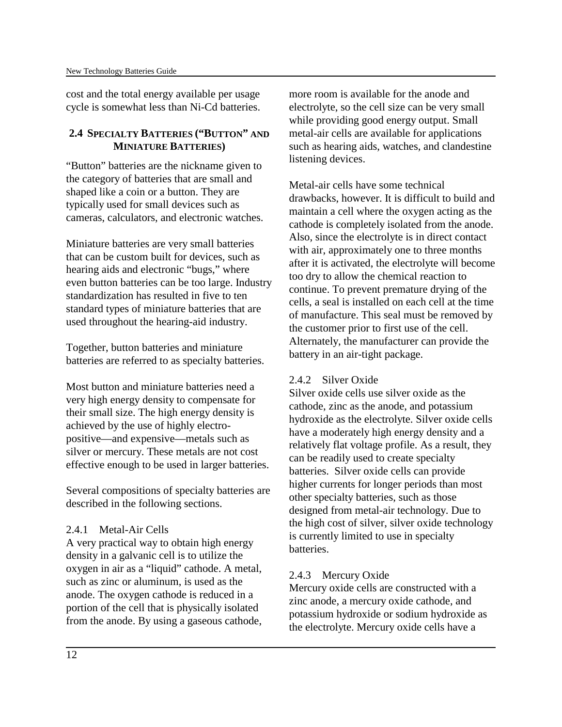cost and the total energy available per usage cycle is somewhat less than Ni-Cd batteries.

# **2.4 SPECIALTY BATTERIES ("BUTTON" AND MINIATURE BATTERIES)**

"Button" batteries are the nickname given to the category of batteries that are small and shaped like a coin or a button. They are typically used for small devices such as cameras, calculators, and electronic watches.

Miniature batteries are very small batteries that can be custom built for devices, such as hearing aids and electronic "bugs," where even button batteries can be too large. Industry standardization has resulted in five to ten standard types of miniature batteries that are used throughout the hearing-aid industry.

Together, button batteries and miniature batteries are referred to as specialty batteries.

Most button and miniature batteries need a very high energy density to compensate for their small size. The high energy density is achieved by the use of highly electropositive—and expensive—metals such as silver or mercury. These metals are not cost effective enough to be used in larger batteries.

Several compositions of specialty batteries are described in the following sections.

# 2.4.1 Metal-Air Cells

A very practical way to obtain high energy density in a galvanic cell is to utilize the oxygen in air as a "liquid" cathode. A metal, such as zinc or aluminum, is used as the anode. The oxygen cathode is reduced in a portion of the cell that is physically isolated from the anode. By using a gaseous cathode,

more room is available for the anode and electrolyte, so the cell size can be very small while providing good energy output. Small metal-air cells are available for applications such as hearing aids, watches, and clandestine listening devices.

Metal-air cells have some technical drawbacks, however. It is difficult to build and maintain a cell where the oxygen acting as the cathode is completely isolated from the anode. Also, since the electrolyte is in direct contact with air, approximately one to three months after it is activated, the electrolyte will become too dry to allow the chemical reaction to continue. To prevent premature drying of the cells, a seal is installed on each cell at the time of manufacture. This seal must be removed by the customer prior to first use of the cell. Alternately, the manufacturer can provide the battery in an air-tight package.

# 2.4.2 Silver Oxide

Silver oxide cells use silver oxide as the cathode, zinc as the anode, and potassium hydroxide as the electrolyte. Silver oxide cells have a moderately high energy density and a relatively flat voltage profile. As a result, they can be readily used to create specialty batteries. Silver oxide cells can provide higher currents for longer periods than most other specialty batteries, such as those designed from metal-air technology. Due to the high cost of silver, silver oxide technology is currently limited to use in specialty batteries.

# 2.4.3 Mercury Oxide

Mercury oxide cells are constructed with a zinc anode, a mercury oxide cathode, and potassium hydroxide or sodium hydroxide as the electrolyte. Mercury oxide cells have a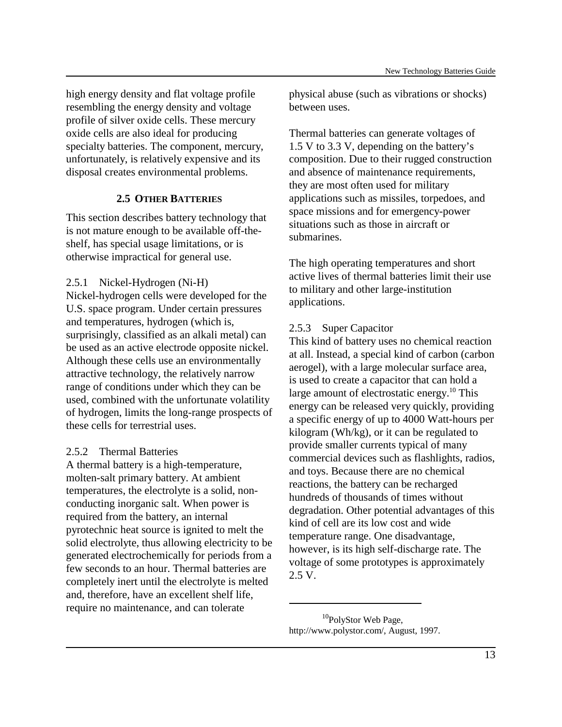high energy density and flat voltage profile resembling the energy density and voltage profile of silver oxide cells. These mercury oxide cells are also ideal for producing specialty batteries. The component, mercury, unfortunately, is relatively expensive and its disposal creates environmental problems.

### **2.5 OTHER BATTERIES**

This section describes battery technology that is not mature enough to be available off-theshelf, has special usage limitations, or is otherwise impractical for general use.

### 2.5.1 Nickel-Hydrogen (Ni-H)

Nickel-hydrogen cells were developed for the U.S. space program. Under certain pressures and temperatures, hydrogen (which is, surprisingly, classified as an alkali metal) can be used as an active electrode opposite nickel. Although these cells use an environmentally attractive technology, the relatively narrow range of conditions under which they can be used, combined with the unfortunate volatility of hydrogen, limits the long-range prospects of these cells for terrestrial uses.

# 2.5.2 Thermal Batteries

A thermal battery is a high-temperature, molten-salt primary battery. At ambient temperatures, the electrolyte is a solid, nonconducting inorganic salt. When power is required from the battery, an internal pyrotechnic heat source is ignited to melt the solid electrolyte, thus allowing electricity to be generated electrochemically for periods from a few seconds to an hour. Thermal batteries are completely inert until the electrolyte is melted and, therefore, have an excellent shelf life, require no maintenance, and can tolerate

physical abuse (such as vibrations or shocks) between uses.

Thermal batteries can generate voltages of 1.5 V to 3.3 V, depending on the battery's composition. Due to their rugged construction and absence of maintenance requirements, they are most often used for military applications such as missiles, torpedoes, and space missions and for emergency-power situations such as those in aircraft or submarines.

The high operating temperatures and short active lives of thermal batteries limit their use to military and other large-institution applications.

# 2.5.3 Super Capacitor

This kind of battery uses no chemical reaction at all. Instead, a special kind of carbon (carbon aerogel), with a large molecular surface area, is used to create a capacitor that can hold a large amount of electrostatic energy.<sup>10</sup> This energy can be released very quickly, providing a specific energy of up to 4000 Watt-hours per kilogram (Wh/kg), or it can be regulated to provide smaller currents typical of many commercial devices such as flashlights, radios, and toys. Because there are no chemical reactions, the battery can be recharged hundreds of thousands of times without degradation. Other potential advantages of this kind of cell are its low cost and wide temperature range. One disadvantage, however, is its high self-discharge rate. The voltage of some prototypes is approximately 2.5 V.

<sup>10</sup>PolyStor Web Page, http://www.polystor.com/, August, 1997.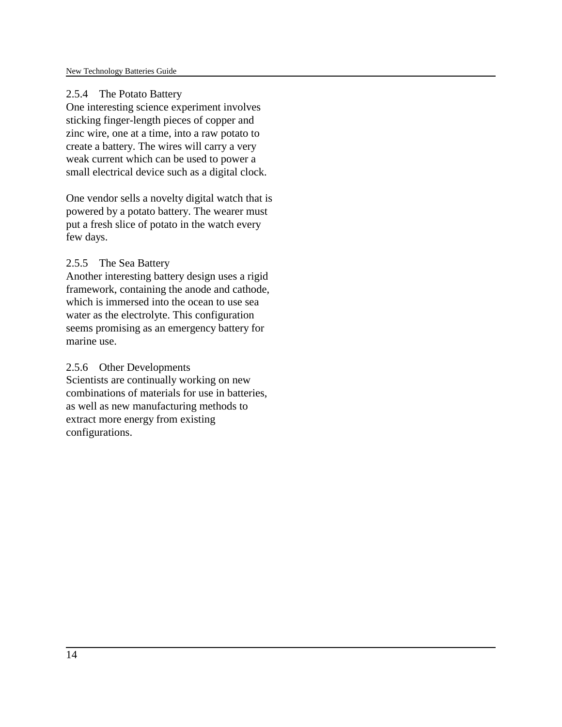### 2.5.4 The Potato Battery

One interesting science experiment involves sticking finger-length pieces of copper and zinc wire, one at a time, into a raw potato to create a battery. The wires will carry a very weak current which can be used to power a small electrical device such as a digital clock.

One vendor sells a novelty digital watch that is powered by a potato battery. The wearer must put a fresh slice of potato in the watch every few days.

# 2.5.5 The Sea Battery

Another interesting battery design uses a rigid framework, containing the anode and cathode, which is immersed into the ocean to use sea water as the electrolyte. This configuration seems promising as an emergency battery for marine use.

# 2.5.6 Other Developments

Scientists are continually working on new combinations of materials for use in batteries, as well as new manufacturing methods to extract more energy from existing configurations.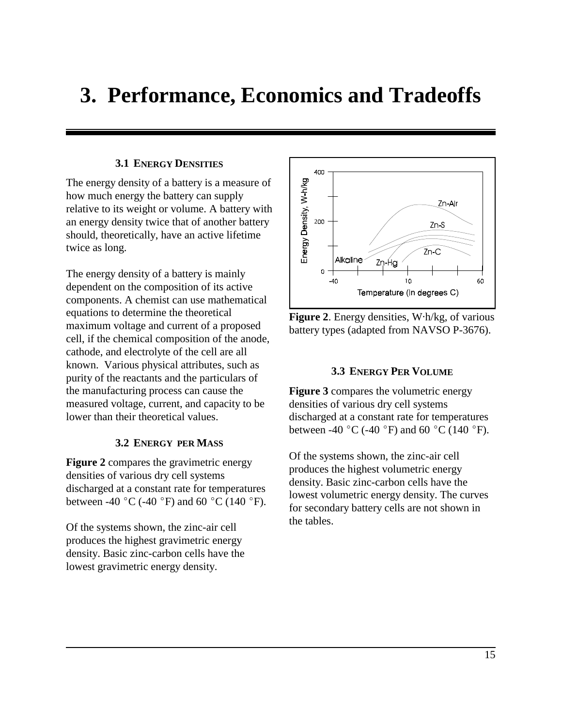# **3. Performance, Economics and Tradeoffs**

#### **3.1 ENERGY DENSITIES**

The energy density of a battery is a measure of how much energy the battery can supply relative to its weight or volume. A battery with an energy density twice that of another battery should, theoretically, have an active lifetime twice as long.

The energy density of a battery is mainly dependent on the composition of its active components. A chemist can use mathematical equations to determine the theoretical maximum voltage and current of a proposed cell, if the chemical composition of the anode, cathode, and electrolyte of the cell are all known. Various physical attributes, such as purity of the reactants and the particulars of the manufacturing process can cause the measured voltage, current, and capacity to be lower than their theoretical values.

#### **3.2 ENERGY PER MASS**

**Figure 2** compares the gravimetric energy densities of various dry cell systems discharged at a constant rate for temperatures between -40 °C (-40 °F) and 60 °C (140 °F).

Of the systems shown, the zinc-air cell produces the highest gravimetric energy density. Basic zinc-carbon cells have the lowest gravimetric energy density.



**Figure 2.** Energy densities, W.h/kg, of various battery types (adapted from NAVSO P-3676).

#### **3.3 ENERGY PER VOLUME**

**Figure 3** compares the volumetric energy densities of various dry cell systems discharged at a constant rate for temperatures between -40 °C (-40 °F) and 60 °C (140 °F).

Of the systems shown, the zinc-air cell produces the highest volumetric energy density. Basic zinc-carbon cells have the lowest volumetric energy density. The curves for secondary battery cells are not shown in the tables.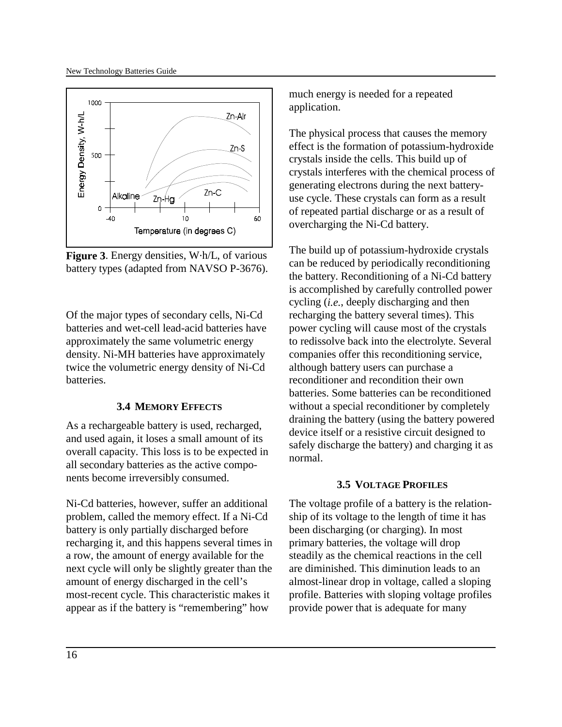

**Figure 3.** Energy densities,  $W \cdot h/L$ , of various battery types (adapted from NAVSO P-3676).

Of the major types of secondary cells, Ni-Cd batteries and wet-cell lead-acid batteries have approximately the same volumetric energy density. Ni-MH batteries have approximately twice the volumetric energy density of Ni-Cd batteries.

# **3.4 MEMORY EFFECTS**

As a rechargeable battery is used, recharged, and used again, it loses a small amount of its overall capacity. This loss is to be expected in all secondary batteries as the active components become irreversibly consumed.

Ni-Cd batteries, however, suffer an additional problem, called the memory effect. If a Ni-Cd battery is only partially discharged before recharging it, and this happens several times in a row, the amount of energy available for the next cycle will only be slightly greater than the amount of energy discharged in the cell's most-recent cycle. This characteristic makes it appear as if the battery is "remembering" how

much energy is needed for a repeated application.

The physical process that causes the memory effect is the formation of potassium-hydroxide crystals inside the cells. This build up of crystals interferes with the chemical process of generating electrons during the next batteryuse cycle. These crystals can form as a result of repeated partial discharge or as a result of overcharging the Ni-Cd battery.

The build up of potassium-hydroxide crystals can be reduced by periodically reconditioning the battery. Reconditioning of a Ni-Cd battery is accomplished by carefully controlled power cycling (*i.e.*, deeply discharging and then recharging the battery several times). This power cycling will cause most of the crystals to redissolve back into the electrolyte. Several companies offer this reconditioning service, although battery users can purchase a reconditioner and recondition their own batteries. Some batteries can be reconditioned without a special reconditioner by completely draining the battery (using the battery powered device itself or a resistive circuit designed to safely discharge the battery) and charging it as normal.

# **3.5 VOLTAGE PROFILES**

The voltage profile of a battery is the relationship of its voltage to the length of time it has been discharging (or charging). In most primary batteries, the voltage will drop steadily as the chemical reactions in the cell are diminished. This diminution leads to an almost-linear drop in voltage, called a sloping profile. Batteries with sloping voltage profiles provide power that is adequate for many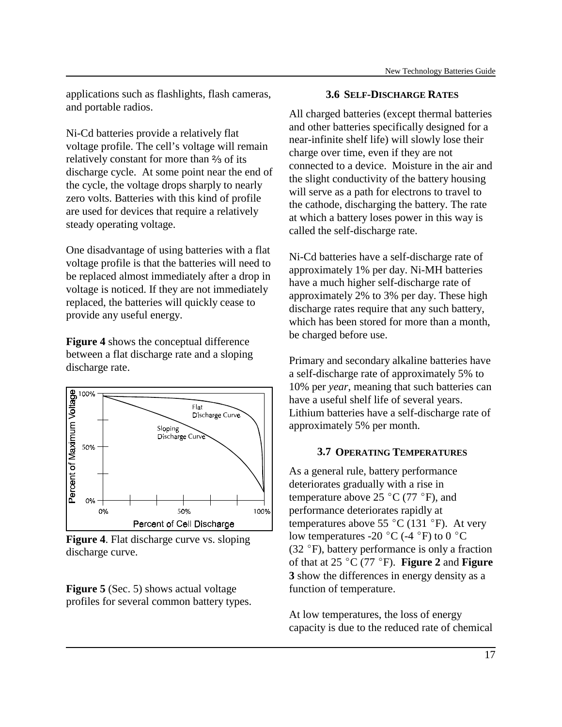applications such as flashlights, flash cameras, and portable radios.

Ni-Cd batteries provide a relatively flat voltage profile. The cell's voltage will remain relatively constant for more than  $\frac{2}{3}$  of its discharge cycle. At some point near the end of the cycle, the voltage drops sharply to nearly zero volts. Batteries with this kind of profile are used for devices that require a relatively steady operating voltage.

One disadvantage of using batteries with a flat voltage profile is that the batteries will need to be replaced almost immediately after a drop in voltage is noticed. If they are not immediately replaced, the batteries will quickly cease to provide any useful energy.

**Figure 4** shows the conceptual difference between a flat discharge rate and a sloping discharge rate.



**Figure 4**. Flat discharge curve vs. sloping discharge curve.

**Figure 5** (Sec. 5) shows actual voltage profiles for several common battery types.

#### **3.6 SELF-DISCHARGE RATES**

All charged batteries (except thermal batteries and other batteries specifically designed for a near-infinite shelf life) will slowly lose their charge over time, even if they are not connected to a device. Moisture in the air and the slight conductivity of the battery housing will serve as a path for electrons to travel to the cathode, discharging the battery. The rate at which a battery loses power in this way is called the self-discharge rate.

Ni-Cd batteries have a self-discharge rate of approximately 1% per day. Ni-MH batteries have a much higher self-discharge rate of approximately 2% to 3% per day. These high discharge rates require that any such battery, which has been stored for more than a month, be charged before use.

Primary and secondary alkaline batteries have a self-discharge rate of approximately 5% to 10% per *year*, meaning that such batteries can have a useful shelf life of several years. Lithium batteries have a self-discharge rate of approximately 5% per month.

#### **3.7 OPERATING TEMPERATURES**

As a general rule, battery performance deteriorates gradually with a rise in temperature above 25  $^{\circ}$ C (77  $^{\circ}$ F), and performance deteriorates rapidly at temperatures above 55  $\degree$ C (131  $\degree$ F). At very low temperatures -20  $^{\circ}$ C (-4  $^{\circ}$ F) to 0  $^{\circ}$ C  $(32 \degree F)$ , battery performance is only a fraction of that at  $25 \text{ °C}$  (77  $\text{ °F}$ ). **Figure 2** and **Figure 3** show the differences in energy density as a function of temperature.

At low temperatures, the loss of energy capacity is due to the reduced rate of chemical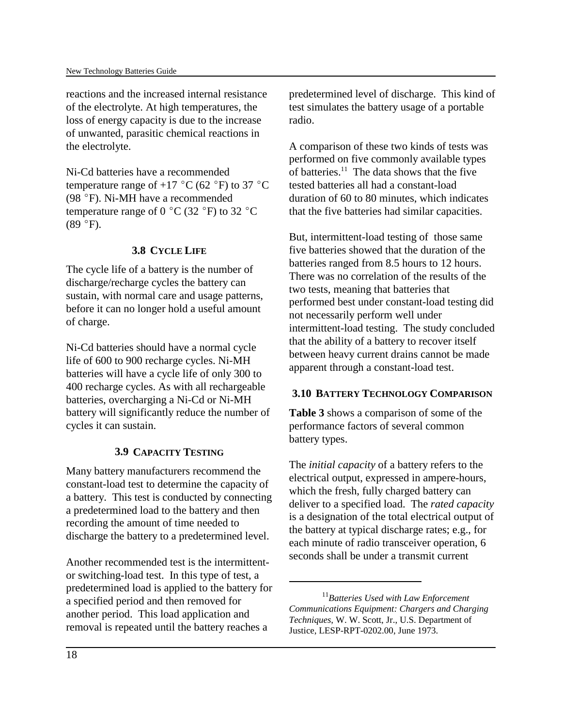reactions and the increased internal resistance of the electrolyte. At high temperatures, the loss of energy capacity is due to the increase of unwanted, parasitic chemical reactions in the electrolyte.

Ni-Cd batteries have a recommended temperature range of +17  $^{\circ}$ C (62  $^{\circ}$ F) to 37  $^{\circ}$ C (98 $\degree$ F). Ni-MH have a recommended temperature range of 0  $^{\circ}$ C (32  $^{\circ}$ F) to 32  $^{\circ}$ C  $(89°F)$ .

# **3.8 CYCLE LIFE**

The cycle life of a battery is the number of discharge/recharge cycles the battery can sustain, with normal care and usage patterns, before it can no longer hold a useful amount of charge.

Ni-Cd batteries should have a normal cycle life of 600 to 900 recharge cycles. Ni-MH batteries will have a cycle life of only 300 to 400 recharge cycles. As with all rechargeable batteries, overcharging a Ni-Cd or Ni-MH battery will significantly reduce the number of cycles it can sustain.

# **3.9 CAPACITY TESTING**

Many battery manufacturers recommend the constant-load test to determine the capacity of a battery. This test is conducted by connecting a predetermined load to the battery and then recording the amount of time needed to discharge the battery to a predetermined level.

Another recommended test is the intermittentor switching-load test. In this type of test, a predetermined load is applied to the battery for a specified period and then removed for another period. This load application and removal is repeated until the battery reaches a

predetermined level of discharge. This kind of test simulates the battery usage of a portable radio.

A comparison of these two kinds of tests was performed on five commonly available types of batteries.<sup>11</sup> The data shows that the five tested batteries all had a constant-load duration of 60 to 80 minutes, which indicates that the five batteries had similar capacities.

But, intermittent-load testing of those same five batteries showed that the duration of the batteries ranged from 8.5 hours to 12 hours. There was no correlation of the results of the two tests, meaning that batteries that performed best under constant-load testing did not necessarily perform well under intermittent-load testing. The study concluded that the ability of a battery to recover itself between heavy current drains cannot be made apparent through a constant-load test.

# **3.10 BATTERY TECHNOLOGY COMPARISON**

**Table 3** shows a comparison of some of the performance factors of several common battery types.

The *initial capacity* of a battery refers to the electrical output, expressed in ampere-hours, which the fresh, fully charged battery can deliver to a specified load. The *rated capacity* is a designation of the total electrical output of the battery at typical discharge rates; e.g., for each minute of radio transceiver operation, 6 seconds shall be under a transmit current

<sup>11</sup>*Batteries Used with Law Enforcement Communications Equipment: Chargers and Charging Techniques*, W. W. Scott, Jr., U.S. Department of Justice, LESP-RPT-0202.00, June 1973.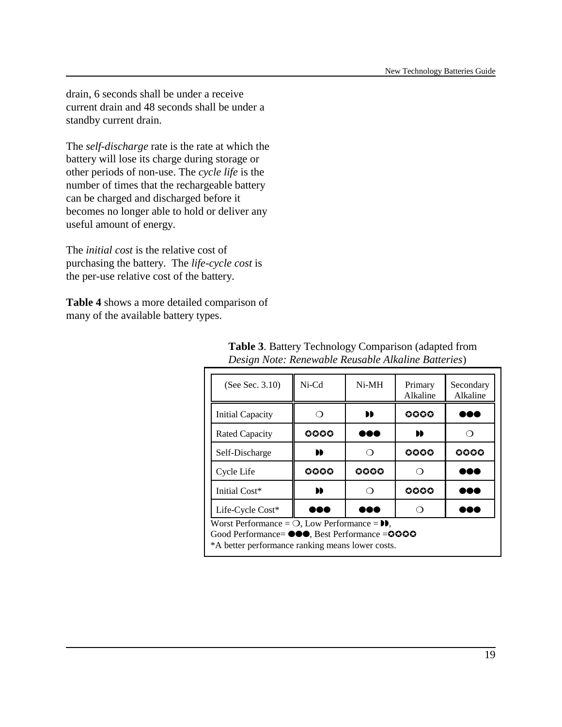drain, 6 seconds shall be under a receive current drain and 48 seconds shall be under a standby current drain.

The *self-discharge* rate is the rate at which the battery will lose its charge during storage or other periods of non-use. The *cycle life* is the number of times that the rechargeable battery can be charged and discharged before it becomes no longer able to hold or deliver any useful amount of energy.

The *initial cost* is the relative cost of purchasing the battery. The *life-cycle cost* is the per-use relative cost of the battery.

**Table 4** shows a more detailed comparison of many of the available battery types.

| (See Sec. 3.10)                                                                                                                                                                                                        | $Ni-Cd$      | $Ni-MH$      | Primary<br>Alkaline | Secondary<br>Alkaline |  |  |
|------------------------------------------------------------------------------------------------------------------------------------------------------------------------------------------------------------------------|--------------|--------------|---------------------|-----------------------|--|--|
| Initial Capacity                                                                                                                                                                                                       |              | DD           | ၀၀၀၀                | ٩ŧ                    |  |  |
| <b>Rated Capacity</b>                                                                                                                                                                                                  | ೦೦೦೦         | $\mathbf{X}$ | ,                   |                       |  |  |
| Self-Discharge                                                                                                                                                                                                         | DD           |              | 0000                | ೲೲ                    |  |  |
| Cycle Life                                                                                                                                                                                                             | 0000         | ೦೦೦೦         |                     | 900                   |  |  |
| Initial Cost*                                                                                                                                                                                                          | DD           |              | ೦೦೦೦                | DO C                  |  |  |
| Life-Cycle Cost*                                                                                                                                                                                                       | <b>START</b> |              |                     |                       |  |  |
| Worst Performance = $\bigcirc$ , Low Performance = $\mathbf{D}$ ,<br>Good Performance= $\bullet\bullet\bullet$ , Best Performance = $\bullet\bullet\bullet\bullet$<br>*A better performance ranking means lower costs. |              |              |                     |                       |  |  |

**Table 3**. Battery Technology Comparison (adapted from *Design Note: Renewable Reusable Alkaline Batteries*)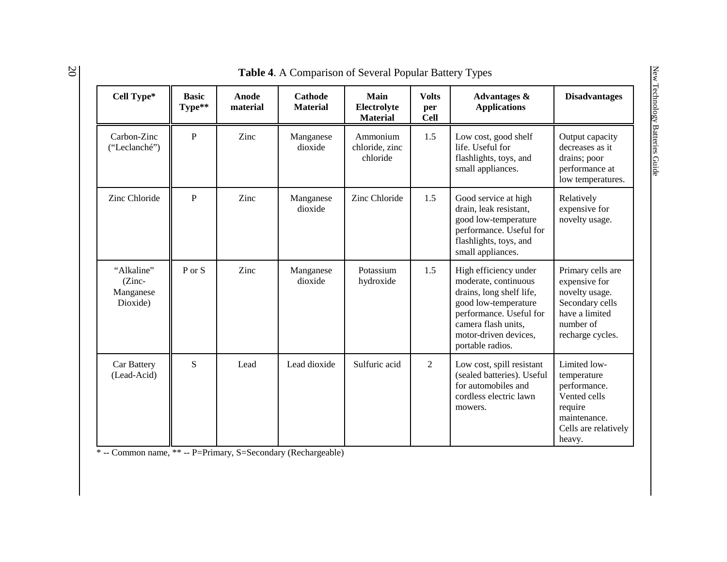| Cell Type*                                      | <b>Basic</b><br>Type** | <b>Anode</b><br>material | <b>Cathode</b><br><b>Material</b> | Main<br>Electrolyte<br><b>Material</b> | <b>Volts</b><br>per<br><b>Cell</b> | <b>Advantages &amp;</b><br><b>Applications</b>                                                                                                                                                   | <b>Disadvantages</b>                                                                                                       |
|-------------------------------------------------|------------------------|--------------------------|-----------------------------------|----------------------------------------|------------------------------------|--------------------------------------------------------------------------------------------------------------------------------------------------------------------------------------------------|----------------------------------------------------------------------------------------------------------------------------|
| Carbon-Zinc<br>("Leclanché")                    | ${\bf P}$              | Zinc                     | Manganese<br>dioxide              | Ammonium<br>chloride, zinc<br>chloride | 1.5                                | Low cost, good shelf<br>life. Useful for<br>flashlights, toys, and<br>small appliances.                                                                                                          | Output capacity<br>decreases as it<br>drains; poor<br>performance at<br>low temperatures.                                  |
| Zinc Chloride                                   | ${\bf P}$              | Zinc                     | Manganese<br>dioxide              | Zinc Chloride                          | 1.5                                | Good service at high<br>drain, leak resistant,<br>good low-temperature<br>performance. Useful for<br>flashlights, toys, and<br>small appliances.                                                 | Relatively<br>expensive for<br>novelty usage.                                                                              |
| "Alkaline"<br>$(Zinc-$<br>Manganese<br>Dioxide) | P or S                 | Zinc                     | Manganese<br>dioxide              | Potassium<br>hydroxide                 | 1.5                                | High efficiency under<br>moderate, continuous<br>drains, long shelf life,<br>good low-temperature<br>performance. Useful for<br>camera flash units,<br>motor-driven devices,<br>portable radios. | Primary cells are<br>expensive for<br>novelty usage.<br>Secondary cells<br>have a limited<br>number of<br>recharge cycles. |
| Car Battery<br>(Lead-Acid)                      | S                      | Lead                     | Lead dioxide                      | Sulfuric acid                          | 2                                  | Low cost, spill resistant<br>(sealed batteries). Useful<br>for automobiles and<br>cordless electric lawn<br>mowers.                                                                              | Limited low-<br>temperature<br>performance.<br>Vented cells<br>require<br>maintenance.<br>Cells are relatively<br>heavy.   |

 $\frac{1}{*}$  -- Common name,  $**$  -- P=Primary, S=Secondary (Rechargeable)

20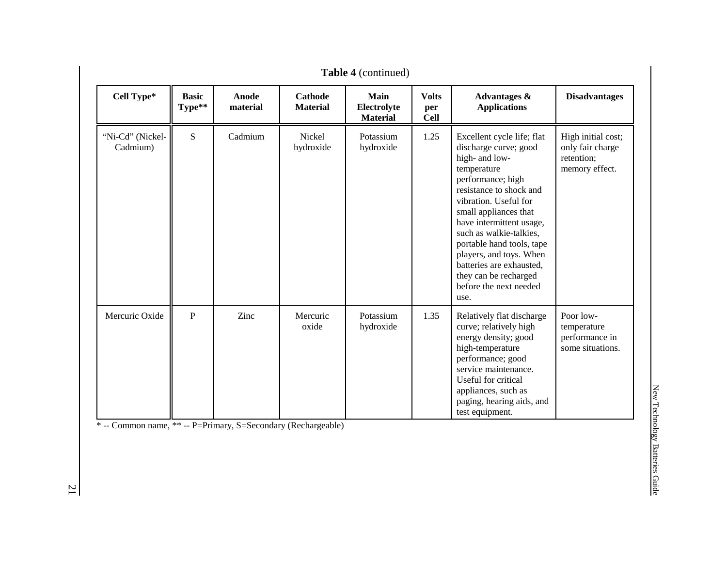| Table 4 (continued)          |                        |                   |                            |                                        |                                    |                                                                                                                                                                                                                                                                                                                                                                                              |                                                                        |
|------------------------------|------------------------|-------------------|----------------------------|----------------------------------------|------------------------------------|----------------------------------------------------------------------------------------------------------------------------------------------------------------------------------------------------------------------------------------------------------------------------------------------------------------------------------------------------------------------------------------------|------------------------------------------------------------------------|
| Cell Type*                   | <b>Basic</b><br>Type** | Anode<br>material | Cathode<br><b>Material</b> | Main<br>Electrolyte<br><b>Material</b> | <b>Volts</b><br>per<br><b>Cell</b> | Advantages &<br><b>Applications</b>                                                                                                                                                                                                                                                                                                                                                          | <b>Disadvantages</b>                                                   |
| "Ni-Cd" (Nickel-<br>Cadmium) | S                      | Cadmium           | <b>Nickel</b><br>hydroxide | Potassium<br>hydroxide                 | 1.25                               | Excellent cycle life; flat<br>discharge curve; good<br>high- and low-<br>temperature<br>performance; high<br>resistance to shock and<br>vibration. Useful for<br>small appliances that<br>have intermittent usage,<br>such as walkie-talkies,<br>portable hand tools, tape<br>players, and toys. When<br>batteries are exhausted,<br>they can be recharged<br>before the next needed<br>use. | High initial cost;<br>only fair charge<br>retention;<br>memory effect. |
| Mercuric Oxide               | $\mathbf{P}$           | Zinc              | Mercuric<br>oxide          | Potassium<br>hydroxide                 | 1.35                               | Relatively flat discharge<br>curve; relatively high<br>energy density; good<br>high-temperature<br>performance; good<br>service maintenance.<br>Useful for critical<br>appliances, such as<br>paging, hearing aids, and<br>test equipment.                                                                                                                                                   | Poor low-<br>temperature<br>performance in<br>some situations.         |

\* -- Common name, \*\* -- P=Primary, S=Secondary (Rechargeable)

New Technology Batteries Guide New Technology Batteries Guide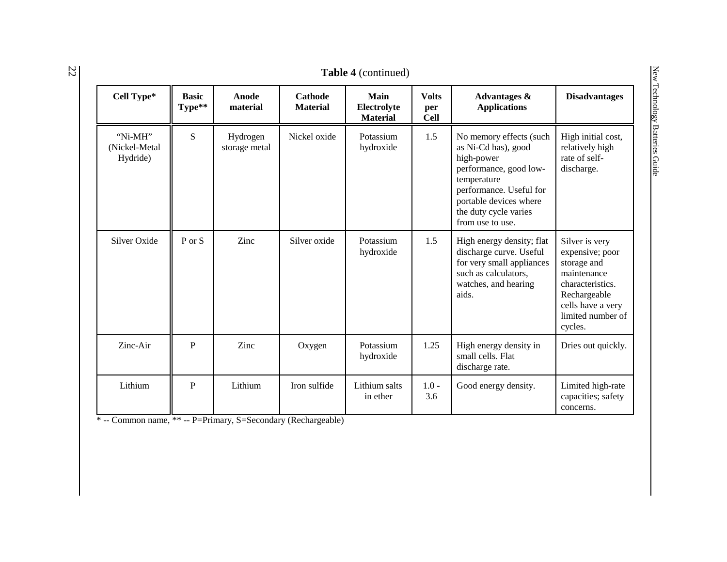|                                       |                        |                           |                            | <b>Table 4</b> (continued)             |                                    |                                                                                                                                                                                                         |                                                                                                                                                          |
|---------------------------------------|------------------------|---------------------------|----------------------------|----------------------------------------|------------------------------------|---------------------------------------------------------------------------------------------------------------------------------------------------------------------------------------------------------|----------------------------------------------------------------------------------------------------------------------------------------------------------|
| Cell Type*                            | <b>Basic</b><br>Type** | Anode<br>material         | Cathode<br><b>Material</b> | Main<br>Electrolyte<br><b>Material</b> | <b>Volts</b><br>per<br><b>Cell</b> | Advantages &<br><b>Applications</b>                                                                                                                                                                     | <b>Disadvantages</b>                                                                                                                                     |
| "Ni-MH"<br>(Nickel-Metal)<br>Hydride) | S                      | Hydrogen<br>storage metal | Nickel oxide               | Potassium<br>hydroxide                 | 1.5                                | No memory effects (such<br>as Ni-Cd has), good<br>high-power<br>performance, good low-<br>temperature<br>performance. Useful for<br>portable devices where<br>the duty cycle varies<br>from use to use. | High initial cost,<br>relatively high<br>rate of self-<br>discharge.                                                                                     |
| Silver Oxide                          | P or S                 | Zinc                      | Silver oxide               | Potassium<br>hydroxide                 | 1.5                                | High energy density; flat<br>discharge curve. Useful<br>for very small appliances<br>such as calculators,<br>watches, and hearing<br>aids.                                                              | Silver is very<br>expensive; poor<br>storage and<br>maintenance<br>characteristics.<br>Rechargeable<br>cells have a very<br>limited number of<br>cycles. |
| Zinc-Air                              | $\mathbf P$            | Zinc                      | Oxygen                     | Potassium<br>hydroxide                 | 1.25                               | High energy density in<br>small cells. Flat<br>discharge rate.                                                                                                                                          | Dries out quickly.                                                                                                                                       |
| Lithium                               | P                      | Lithium                   | Iron sulfide               | Lithium salts<br>in ether              | $1.0 -$<br>3.6                     | Good energy density.                                                                                                                                                                                    | Limited high-rate<br>capacities; safety<br>concerns.                                                                                                     |

\* -- Common name, \*\* -- P=Primary, S=Secondary (Rechargeable)

22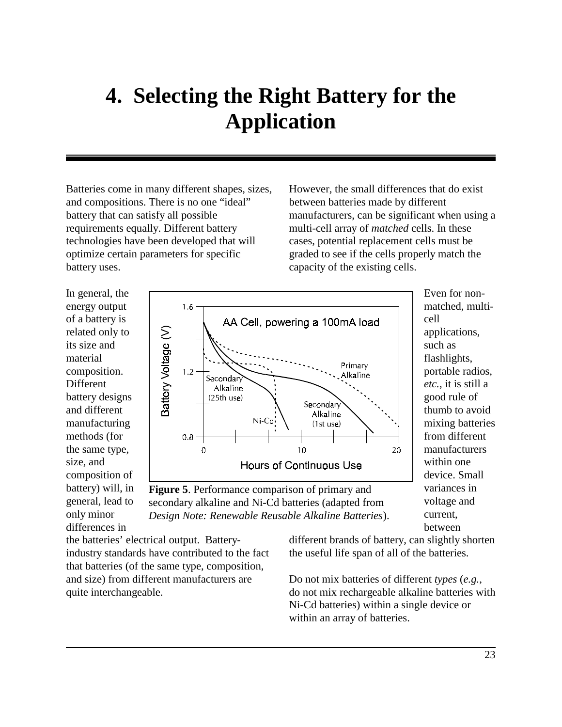# **4. Selecting the Right Battery for the Application**

Batteries come in many different shapes, sizes, and compositions. There is no one "ideal" battery that can satisfy all possible requirements equally. Different battery technologies have been developed that will optimize certain parameters for specific battery uses.

However, the small differences that do exist between batteries made by different manufacturers, can be significant when using a multi-cell array of *matched* cells. In these cases, potential replacement cells must be graded to see if the cells properly match the capacity of the existing cells.

In general, the energy output of a battery is related only to its size and material composition. Different battery designs and different manufacturing methods (for the same type, size, and composition of battery) will, in general, lead to only minor differences in



**Figure 5**. Performance comparison of primary and secondary alkaline and Ni-Cd batteries (adapted from *Design Note: Renewable Reusable Alkaline Batteries*).

matched, multicell applications, such as flashlights, portable radios, *etc.*, it is still a good rule of thumb to avoid mixing batteries from different manufacturers within one device. Small variances in voltage and current, between

Even for non-

the batteries' electrical output. Batteryindustry standards have contributed to the fact that batteries (of the same type, composition, and size) from different manufacturers are quite interchangeable.

different brands of battery, can slightly shorten the useful life span of all of the batteries.

Do not mix batteries of different *types* (*e.g.*, do not mix rechargeable alkaline batteries with Ni-Cd batteries) within a single device or within an array of batteries.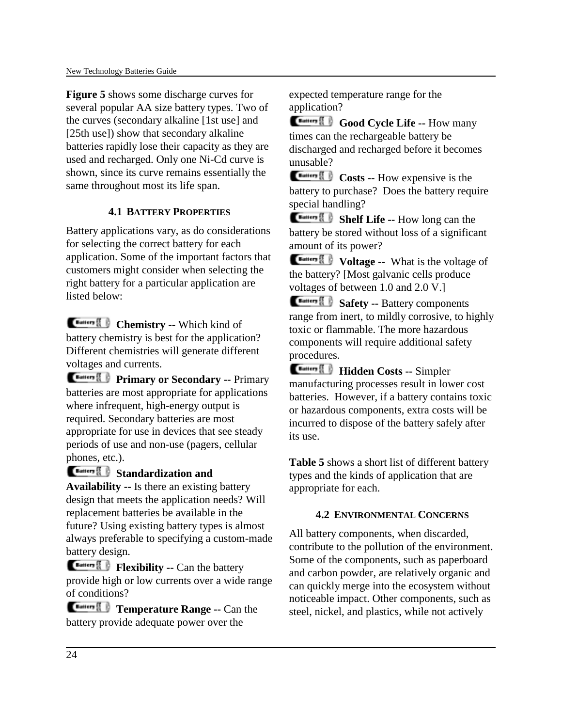**Figure 5** shows some discharge curves for several popular AA size battery types. Two of the curves (secondary alkaline [1st use] and [25th use]) show that secondary alkaline batteries rapidly lose their capacity as they are used and recharged. Only one Ni-Cd curve is shown, since its curve remains essentially the same throughout most its life span.

### **4.1 BATTERY PROPERTIES**

Battery applications vary, as do considerations for selecting the correct battery for each application. Some of the important factors that customers might consider when selecting the right battery for a particular application are listed below:

**Chemistry -- Which kind of** battery chemistry is best for the application? Different chemistries will generate different voltages and currents.

**Primary or Secondary -- Primary** batteries are most appropriate for applications where infrequent, high-energy output is required. Secondary batteries are most appropriate for use in devices that see steady periods of use and non-use (pagers, cellular phones, etc.).

**Existery & Standardization and Availability --** Is there an existing battery design that meets the application needs? Will replacement batteries be available in the future? Using existing battery types is almost always preferable to specifying a custom-made battery design.

**Flexibility -- Can the battery** provide high or low currents over a wide range of conditions?

 **Temperature Range --** Can the battery provide adequate power over the

expected temperature range for the application?

**Failery II Good Cycle Life -- How many** times can the rechargeable battery be discharged and recharged before it becomes unusable?

**Costs -- How expensive is the** battery to purchase? Does the battery require special handling?

**Shelf Life -- How long can the** battery be stored without loss of a significant amount of its power?

**Failery**  $\frac{R}{6}$  **Voltage --** What is the voltage of the battery? [Most galvanic cells produce voltages of between 1.0 and 2.0 V.]

**Eattery**  $\frac{d\mathbf{r}}{d\mathbf{r}}$  **Safety -- Battery components** range from inert, to mildly corrosive, to highly toxic or flammable. The more hazardous components will require additional safety procedures.

**Hidden Costs -- Simpler** manufacturing processes result in lower cost batteries. However, if a battery contains toxic or hazardous components, extra costs will be incurred to dispose of the battery safely after its use.

**Table 5** shows a short list of different battery types and the kinds of application that are appropriate for each.

# **4.2 ENVIRONMENTAL CONCERNS**

All battery components, when discarded, contribute to the pollution of the environment. Some of the components, such as paperboard and carbon powder, are relatively organic and can quickly merge into the ecosystem without noticeable impact. Other components, such as steel, nickel, and plastics, while not actively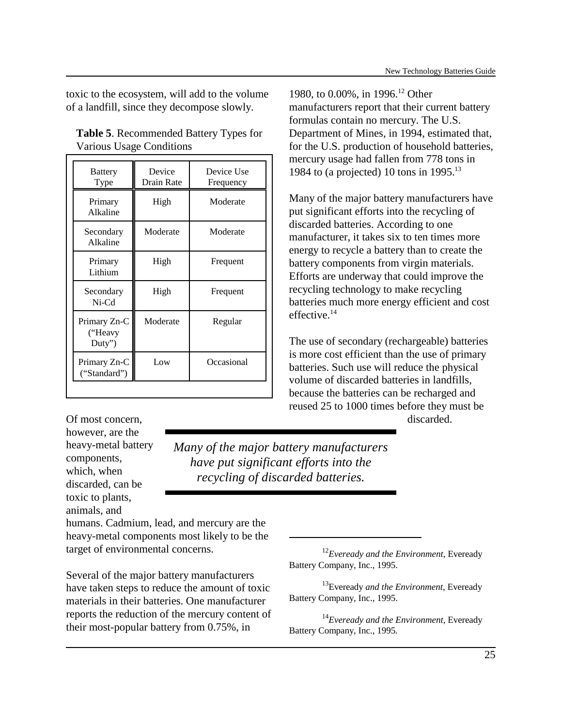toxic to the ecosystem, will add to the volume of a landfill, since they decompose slowly.

**Table 5**. Recommended Battery Types for

| <b>Various Usage Conditions</b> |                      |                         |  |  |
|---------------------------------|----------------------|-------------------------|--|--|
| <b>Battery</b><br>Type          | Device<br>Drain Rate | Device Use<br>Frequency |  |  |
|                                 |                      |                         |  |  |

| Type                              | Drain Rate | Frequency  |
|-----------------------------------|------------|------------|
| Primary<br>Alkaline               | High       | Moderate   |
| Secondary<br>Alkaline             | Moderate   | Moderate   |
| Primary<br>Lithium                | High       | Frequent   |
| Secondary<br>$Ni-Cd$              | High       | Frequent   |
| Primary Zn-C<br>("Heavy<br>Duty") | Moderate   | Regular    |
| Primary Zn-C<br>("Standard")      | Low        | Occasional |

Of most concern, however, are the heavy-metal battery components, which, when discarded, can be toxic to plants, animals, and

*Many of the major battery manufacturers have put significant efforts into the recycling of discarded batteries.*

humans. Cadmium, lead, and mercury are the heavy-metal components most likely to be the target of environmental concerns.

Several of the major battery manufacturers have taken steps to reduce the amount of toxic materials in their batteries. One manufacturer reports the reduction of the mercury content of their most-popular battery from 0.75%, in

1980, to 0.00%, in 1996.<sup>12</sup> Other manufacturers report that their current battery formulas contain no mercury. The U.S. Department of Mines, in 1994, estimated that, for the U.S. production of household batteries, mercury usage had fallen from 778 tons in 1984 to (a projected) 10 tons in 1995.<sup>13</sup>

Many of the major battery manufacturers have put significant efforts into the recycling of discarded batteries. According to one manufacturer, it takes six to ten times more energy to recycle a battery than to create the battery components from virgin materials. Efforts are underway that could improve the recycling technology to make recycling batteries much more energy efficient and cost effective.14

The use of secondary (rechargeable) batteries is more cost efficient than the use of primary batteries. Such use will reduce the physical volume of discarded batteries in landfills, because the batteries can be recharged and reused 25 to 1000 times before they must be discarded.

<sup>12</sup>*Eveready and the Environment*, Eveready Battery Company, Inc., 1995.

13Eveready *and the Environment*, Eveready Battery Company, Inc., 1995.

<sup>14</sup>*Eveready and the Environment*, Eveready Battery Company, Inc., 1995*.*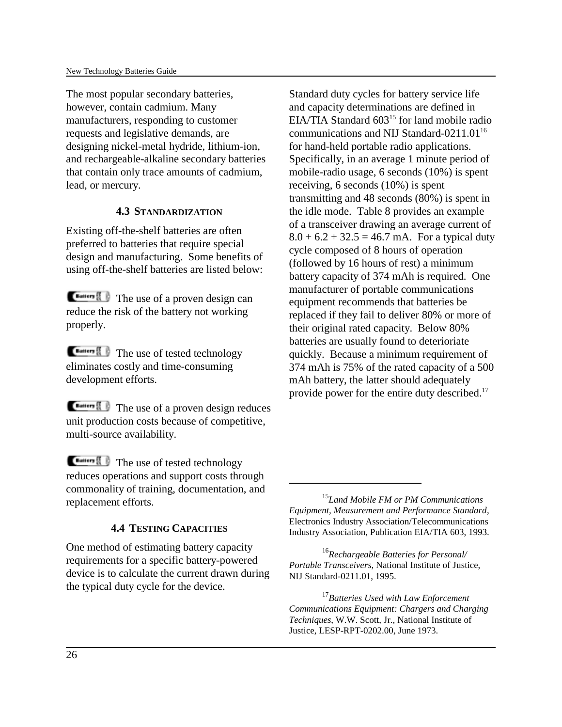The most popular secondary batteries, however, contain cadmium. Many manufacturers, responding to customer requests and legislative demands, are designing nickel-metal hydride, lithium-ion, and rechargeable-alkaline secondary batteries that contain only trace amounts of cadmium, lead, or mercury.

### **4.3 STANDARDIZATION**

Existing off-the-shelf batteries are often preferred to batteries that require special design and manufacturing. Some benefits of using off-the-shelf batteries are listed below:

**The use of a proven design can** reduce the risk of the battery not working properly.

**The use of tested technology** eliminates costly and time-consuming development efforts.

 $T_{\text{matter}}$   $\frac{R}{N}$  The use of a proven design reduces unit production costs because of competitive, multi-source availability.

**The use of tested technology** reduces operations and support costs through commonality of training, documentation, and replacement efforts.

# **4.4 TESTING CAPACITIES**

One method of estimating battery capacity requirements for a specific battery-powered device is to calculate the current drawn during the typical duty cycle for the device.

Standard duty cycles for battery service life and capacity determinations are defined in EIA/TIA Standard  $603^{15}$  for land mobile radio communications and NIJ Standard-0211.0116 for hand-held portable radio applications. Specifically, in an average 1 minute period of mobile-radio usage, 6 seconds (10%) is spent receiving, 6 seconds (10%) is spent transmitting and 48 seconds (80%) is spent in the idle mode. Table 8 provides an example of a transceiver drawing an average current of  $8.0 + 6.2 + 32.5 = 46.7$  mA. For a typical duty cycle composed of 8 hours of operation (followed by 16 hours of rest) a minimum battery capacity of 374 mAh is required. One manufacturer of portable communications equipment recommends that batteries be replaced if they fail to deliver 80% or more of their original rated capacity. Below 80% batteries are usually found to deterioriate quickly. Because a minimum requirement of 374 mAh is 75% of the rated capacity of a 500 mAh battery, the latter should adequately provide power for the entire duty described.<sup>17</sup>

<sup>16</sup>*Rechargeable Batteries for Personal/ Portable Transceivers*, National Institute of Justice, NIJ Standard-0211.01, 1995.

<sup>17</sup>*Batteries Used with Law Enforcement Communications Equipment: Chargers and Charging Techniques*, W.W. Scott, Jr., National Institute of Justice, LESP-RPT-0202.00, June 1973.

<sup>15</sup>*Land Mobile FM or PM Communications Equipment, Measurement and Performance Standard*, Electronics Industry Association/Telecommunications Industry Association, Publication EIA/TIA 603, 1993.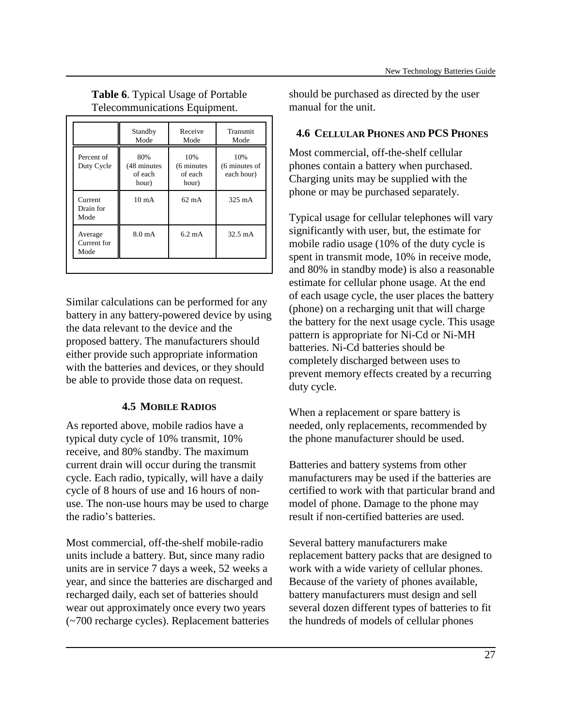|                                | Standby<br>Mode                        | Receive<br>Mode                        | Transmit<br>Mode                   |
|--------------------------------|----------------------------------------|----------------------------------------|------------------------------------|
| Percent of<br>Duty Cycle       | 80%<br>(48 minutes<br>of each<br>hour) | 10%<br>(6 minutes)<br>of each<br>hour) | 10%<br>(6 minutes of<br>each hour) |
| Current<br>Drain for<br>Mode   | $10 \text{ mA}$                        | $62 \text{ mA}$                        | $325 \text{ mA}$                   |
| Average<br>Current for<br>Mode | 8.0 <sub>m</sub> A                     | $6.2 \text{ mA}$                       | $32.5 \text{ mA}$                  |

# **Table 6**. Typical Usage of Portable Telecommunications Equipment.

Similar calculations can be performed for any battery in any battery-powered device by using the data relevant to the device and the proposed battery. The manufacturers should either provide such appropriate information with the batteries and devices, or they should be able to provide those data on request.

# **4.5 MOBILE RADIOS**

As reported above, mobile radios have a typical duty cycle of 10% transmit, 10% receive, and 80% standby. The maximum current drain will occur during the transmit cycle. Each radio, typically, will have a daily cycle of 8 hours of use and 16 hours of nonuse. The non-use hours may be used to charge the radio's batteries.

Most commercial, off-the-shelf mobile-radio units include a battery. But, since many radio units are in service 7 days a week, 52 weeks a year, and since the batteries are discharged and recharged daily, each set of batteries should wear out approximately once every two years (~700 recharge cycles). Replacement batteries

should be purchased as directed by the user manual for the unit.

# **4.6 CELLULAR PHONES AND PCS PHONES**

Most commercial, off-the-shelf cellular phones contain a battery when purchased. Charging units may be supplied with the phone or may be purchased separately.

Typical usage for cellular telephones will vary significantly with user, but, the estimate for mobile radio usage (10% of the duty cycle is spent in transmit mode, 10% in receive mode, and 80% in standby mode) is also a reasonable estimate for cellular phone usage. At the end of each usage cycle, the user places the battery (phone) on a recharging unit that will charge the battery for the next usage cycle. This usage pattern is appropriate for Ni-Cd or Ni-MH batteries. Ni-Cd batteries should be completely discharged between uses to prevent memory effects created by a recurring duty cycle.

When a replacement or spare battery is needed, only replacements, recommended by the phone manufacturer should be used.

Batteries and battery systems from other manufacturers may be used if the batteries are certified to work with that particular brand and model of phone. Damage to the phone may result if non-certified batteries are used.

Several battery manufacturers make replacement battery packs that are designed to work with a wide variety of cellular phones. Because of the variety of phones available, battery manufacturers must design and sell several dozen different types of batteries to fit the hundreds of models of cellular phones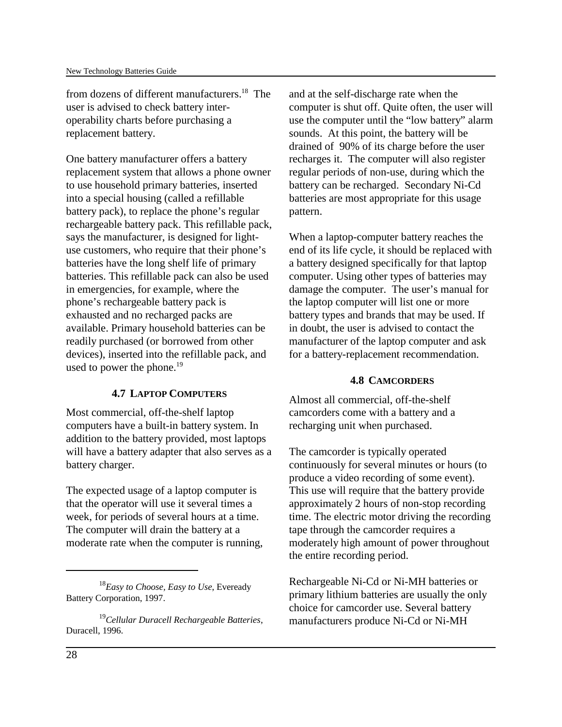from dozens of different manufacturers.18 The user is advised to check battery interoperability charts before purchasing a replacement battery.

One battery manufacturer offers a battery replacement system that allows a phone owner to use household primary batteries, inserted into a special housing (called a refillable battery pack), to replace the phone's regular rechargeable battery pack. This refillable pack, says the manufacturer, is designed for lightuse customers, who require that their phone's batteries have the long shelf life of primary batteries. This refillable pack can also be used in emergencies, for example, where the phone's rechargeable battery pack is exhausted and no recharged packs are available. Primary household batteries can be readily purchased (or borrowed from other devices), inserted into the refillable pack, and used to power the phone.<sup>19</sup>

#### **4.7 LAPTOP COMPUTERS**

Most commercial, off-the-shelf laptop computers have a built-in battery system. In addition to the battery provided, most laptops will have a battery adapter that also serves as a battery charger.

The expected usage of a laptop computer is that the operator will use it several times a week, for periods of several hours at a time. The computer will drain the battery at a moderate rate when the computer is running, and at the self-discharge rate when the computer is shut off. Quite often, the user will use the computer until the "low battery" alarm sounds. At this point, the battery will be drained of 90% of its charge before the user recharges it. The computer will also register regular periods of non-use, during which the battery can be recharged. Secondary Ni-Cd batteries are most appropriate for this usage pattern.

When a laptop-computer battery reaches the end of its life cycle, it should be replaced with a battery designed specifically for that laptop computer. Using other types of batteries may damage the computer. The user's manual for the laptop computer will list one or more battery types and brands that may be used. If in doubt, the user is advised to contact the manufacturer of the laptop computer and ask for a battery-replacement recommendation.

#### **4.8 CAMCORDERS**

Almost all commercial, off-the-shelf camcorders come with a battery and a recharging unit when purchased.

The camcorder is typically operated continuously for several minutes or hours (to produce a video recording of some event). This use will require that the battery provide approximately 2 hours of non-stop recording time. The electric motor driving the recording tape through the camcorder requires a moderately high amount of power throughout the entire recording period.

Rechargeable Ni-Cd or Ni-MH batteries or primary lithium batteries are usually the only choice for camcorder use. Several battery manufacturers produce Ni-Cd or Ni-MH

<sup>18</sup>*Easy to Choose, Easy to Use*, Eveready Battery Corporation, 1997.

<sup>19</sup>*Cellular Duracell Rechargeable Batteries*, Duracell, 1996.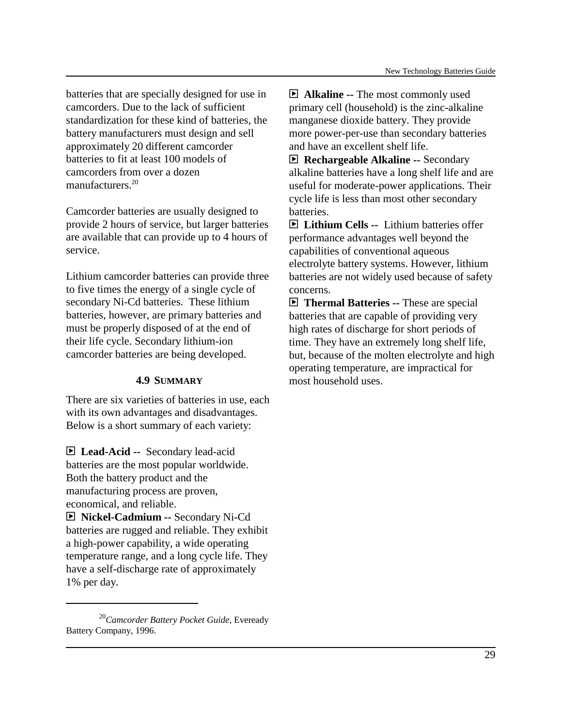batteries that are specially designed for use in camcorders. Due to the lack of sufficient standardization for these kind of batteries, the battery manufacturers must design and sell approximately 20 different camcorder batteries to fit at least 100 models of camcorders from over a dozen manufacturers.20

Camcorder batteries are usually designed to provide 2 hours of service, but larger batteries are available that can provide up to 4 hours of service.

Lithium camcorder batteries can provide three to five times the energy of a single cycle of secondary Ni-Cd batteries. These lithium batteries, however, are primary batteries and must be properly disposed of at the end of their life cycle. Secondary lithium-ion camcorder batteries are being developed.

# **4.9 SUMMARY**

There are six varieties of batteries in use, each with its own advantages and disadvantages. Below is a short summary of each variety:

**E** Lead-Acid -- Secondary lead-acid batteries are the most popular worldwide. Both the battery product and the manufacturing process are proven, economical, and reliable.

\_ **Nickel-Cadmium --** Secondary Ni-Cd batteries are rugged and reliable. They exhibit a high-power capability, a wide operating temperature range, and a long cycle life. They have a self-discharge rate of approximately 1% per day.

 $\bullet$  **Alkaline --** The most commonly used primary cell (household) is the zinc-alkaline manganese dioxide battery. They provide more power-per-use than secondary batteries and have an excellent shelf life.

\_ **Rechargeable Alkaline --** Secondary alkaline batteries have a long shelf life and are useful for moderate-power applications. Their cycle life is less than most other secondary batteries.

■ **Lithium Cells --** Lithium batteries offer performance advantages well beyond the capabilities of conventional aqueous electrolyte battery systems. However, lithium batteries are not widely used because of safety concerns.

 $\bullet$  **Thermal Batteries --** These are special batteries that are capable of providing very high rates of discharge for short periods of time. They have an extremely long shelf life, but, because of the molten electrolyte and high operating temperature, are impractical for most household uses.

<sup>20</sup>*Camcorder Battery Pocket Guide*, Eveready Battery Company, 1996.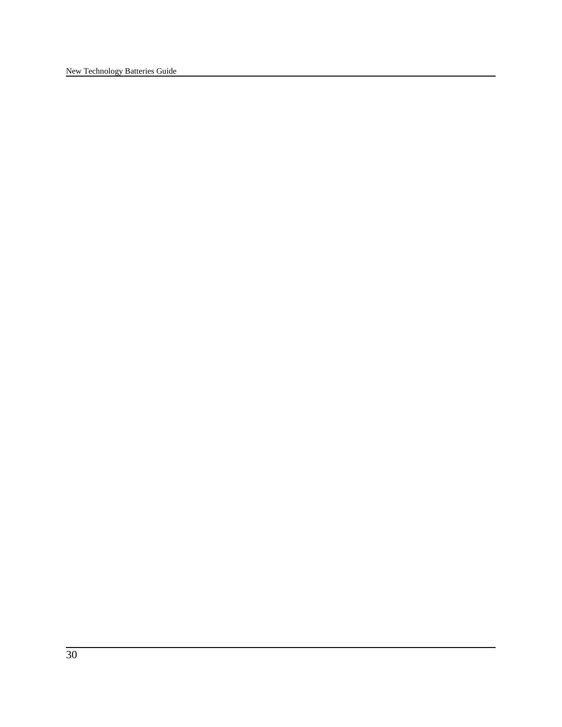New Technology Batteries Guide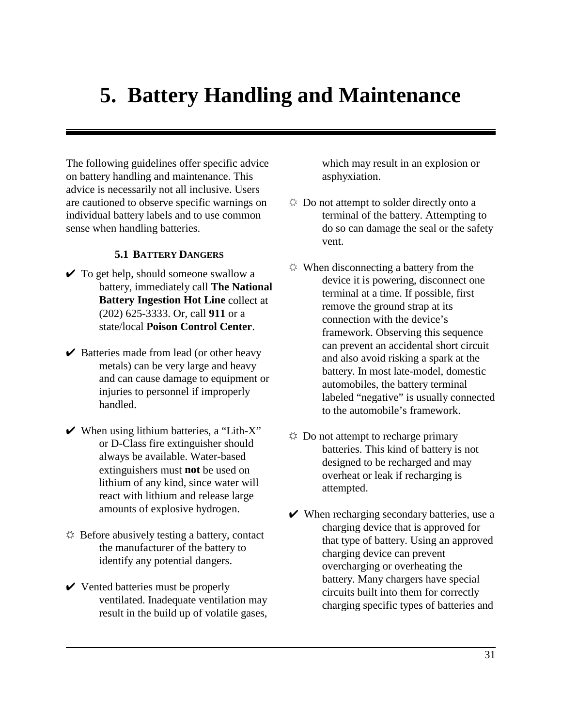# **5. Battery Handling and Maintenance**

The following guidelines offer specific advice on battery handling and maintenance. This advice is necessarily not all inclusive. Users are cautioned to observe specific warnings on individual battery labels and to use common sense when handling batteries.

#### **5.1 BATTERY DANGERS**

- $\checkmark$  To get help, should someone swallow a battery, immediately call **The National Battery Ingestion Hot Line** collect at (202) 625-3333. Or, call **911** or a state/local **Poison Control Center**.
- $\triangleright$  Batteries made from lead (or other heavy metals) can be very large and heavy and can cause damage to equipment or injuries to personnel if improperly handled.
- $\vee$  When using lithium batteries, a "Lith-X" or D-Class fire extinguisher should always be available. Water-based extinguishers must **not** be used on lithium of any kind, since water will react with lithium and release large amounts of explosive hydrogen.
- $\ddot{\mathbb{Z}}$  Before abusively testing a battery, contact the manufacturer of the battery to identify any potential dangers.
- $\vee$  Vented batteries must be properly ventilated. Inadequate ventilation may result in the build up of volatile gases,

which may result in an explosion or asphyxiation.

- $\mathbb{Z}^*$  Do not attempt to solder directly onto a terminal of the battery. Attempting to do so can damage the seal or the safety vent.
- $\mathbb{Z}$  When disconnecting a battery from the device it is powering, disconnect one terminal at a time. If possible, first remove the ground strap at its connection with the device's framework. Observing this sequence can prevent an accidental short circuit and also avoid risking a spark at the battery. In most late-model, domestic automobiles, the battery terminal labeled "negative" is usually connected to the automobile's framework.
- $\mathbb{Z}$  Do not attempt to recharge primary batteries. This kind of battery is not designed to be recharged and may overheat or leak if recharging is attempted.
- $\vee$  When recharging secondary batteries, use a charging device that is approved for that type of battery. Using an approved charging device can prevent overcharging or overheating the battery. Many chargers have special circuits built into them for correctly charging specific types of batteries and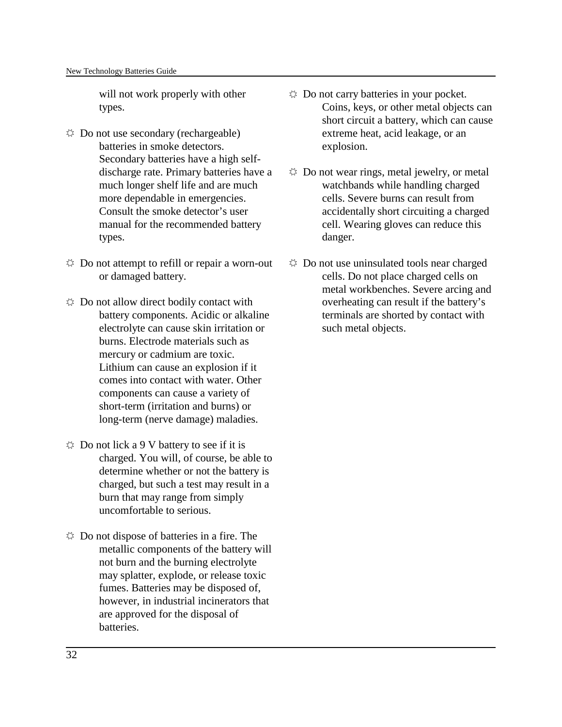will not work properly with other types.

- $\stackrel{\leftrightarrow}{\sim}$  Do not use secondary (rechargeable) batteries in smoke detectors. Secondary batteries have a high selfdischarge rate. Primary batteries have a much longer shelf life and are much more dependable in emergencies. Consult the smoke detector's user manual for the recommended battery types.
- $\mathbb{Z}^*$  Do not attempt to refill or repair a worn-out or damaged battery.
- $\mathbb{R}^n$  Do not allow direct bodily contact with battery components. Acidic or alkaline electrolyte can cause skin irritation or burns. Electrode materials such as mercury or cadmium are toxic. Lithium can cause an explosion if it comes into contact with water. Other components can cause a variety of short-term (irritation and burns) or long-term (nerve damage) maladies.
- $\ddot{\mathbb{C}}$  Do not lick a 9 V battery to see if it is charged. You will, of course, be able to determine whether or not the battery is charged, but such a test may result in a burn that may range from simply uncomfortable to serious.
- $\mathbb{Z}^*$  Do not dispose of batteries in a fire. The metallic components of the battery will not burn and the burning electrolyte may splatter, explode, or release toxic fumes. Batteries may be disposed of, however, in industrial incinerators that are approved for the disposal of batteries.
- $\ddot{\mathbb{Z}}$  Do not carry batteries in your pocket. Coins, keys, or other metal objects can short circuit a battery, which can cause extreme heat, acid leakage, or an explosion.
- $\mathbb{Z}$  Do not wear rings, metal jewelry, or metal watchbands while handling charged cells. Severe burns can result from accidentally short circuiting a charged cell. Wearing gloves can reduce this danger.
- $\mathbb{Z}$  Do not use uninsulated tools near charged cells. Do not place charged cells on metal workbenches. Severe arcing and overheating can result if the battery's terminals are shorted by contact with such metal objects.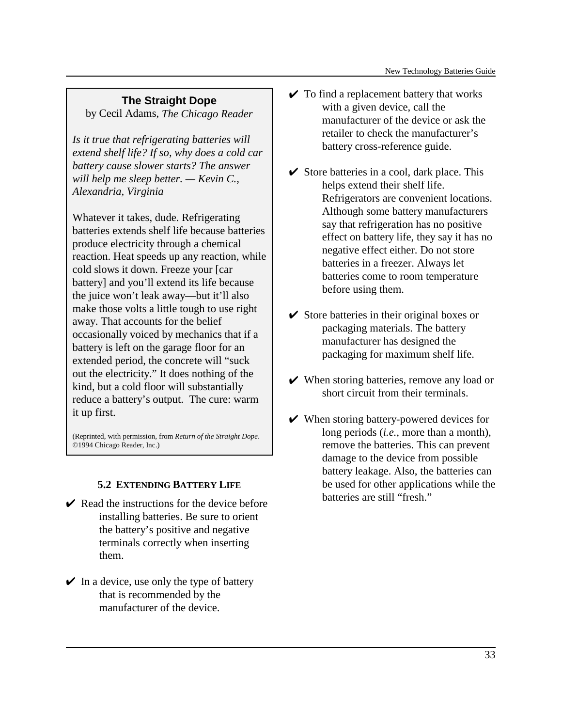# **The Straight Dope**

by Cecil Adams, *The Chicago Reader*

*Is it true that refrigerating batteries will extend shelf life? If so, why does a cold car battery cause slower starts? The answer will help me sleep better. — Kevin C., Alexandria, Virginia*

Whatever it takes, dude. Refrigerating batteries extends shelf life because batteries produce electricity through a chemical reaction. Heat speeds up any reaction, while cold slows it down. Freeze your [car battery] and you'll extend its life because the juice won't leak away—but it'll also make those volts a little tough to use right away. That accounts for the belief occasionally voiced by mechanics that if a battery is left on the garage floor for an extended period, the concrete will "suck out the electricity." It does nothing of the kind, but a cold floor will substantially reduce a battery's output. The cure: warm it up first.

(Reprinted, with permission, from *Return of the Straight Dope*. ©1994 Chicago Reader, Inc.)

# **5.2 EXTENDING BATTERY LIFE**

- $\vee$  Read the instructions for the device before installing batteries. Be sure to orient the battery's positive and negative terminals correctly when inserting them.
- $\triangleright$  In a device, use only the type of battery that is recommended by the manufacturer of the device.
- $\checkmark$  To find a replacement battery that works with a given device, call the manufacturer of the device or ask the retailer to check the manufacturer's battery cross-reference guide.
- $\checkmark$  Store batteries in a cool, dark place. This helps extend their shelf life. Refrigerators are convenient locations. Although some battery manufacturers say that refrigeration has no positive effect on battery life, they say it has no negative effect either. Do not store batteries in a freezer. Always let batteries come to room temperature before using them.
- $\checkmark$  Store batteries in their original boxes or packaging materials. The battery manufacturer has designed the packaging for maximum shelf life.
- $\vee$  When storing batteries, remove any load or short circuit from their terminals.
- $\vee$  When storing battery-powered devices for long periods (*i.e.,* more than a month), remove the batteries. This can prevent damage to the device from possible battery leakage. Also, the batteries can be used for other applications while the batteries are still "fresh."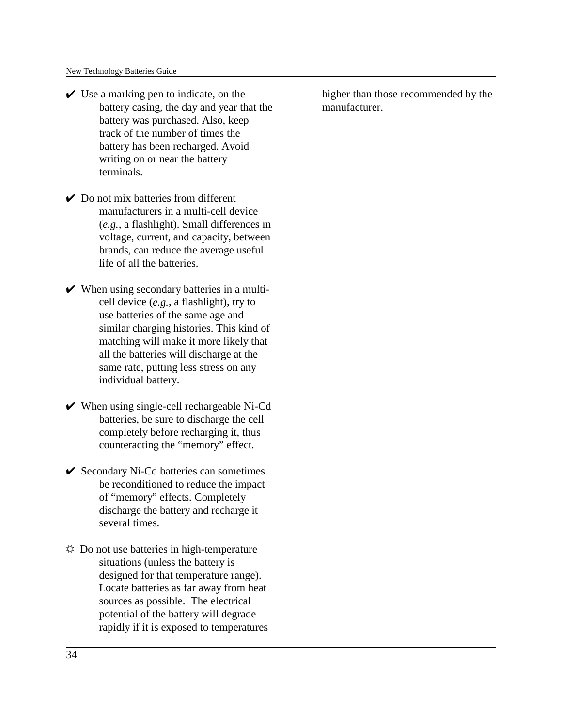- $\vee$  Use a marking pen to indicate, on the battery casing, the day and year that the battery was purchased. Also, keep track of the number of times the battery has been recharged. Avoid writing on or near the battery terminals.
- $\triangleright$  Do not mix batteries from different manufacturers in a multi-cell device (*e.g.,* a flashlight). Small differences in voltage, current, and capacity, between brands, can reduce the average useful life of all the batteries.
- $\vee$  When using secondary batteries in a multicell device (*e.g.*, a flashlight), try to use batteries of the same age and similar charging histories. This kind of matching will make it more likely that all the batteries will discharge at the same rate, putting less stress on any individual battery.
- $\vee$  When using single-cell rechargeable Ni-Cd batteries, be sure to discharge the cell completely before recharging it, thus counteracting the "memory" effect.
- $\checkmark$  Secondary Ni-Cd batteries can sometimes be reconditioned to reduce the impact of "memory" effects. Completely discharge the battery and recharge it several times.
- $\mathbb{Z}$  Do not use batteries in high-temperature situations (unless the battery is designed for that temperature range). Locate batteries as far away from heat sources as possible. The electrical potential of the battery will degrade rapidly if it is exposed to temperatures

higher than those recommended by the manufacturer.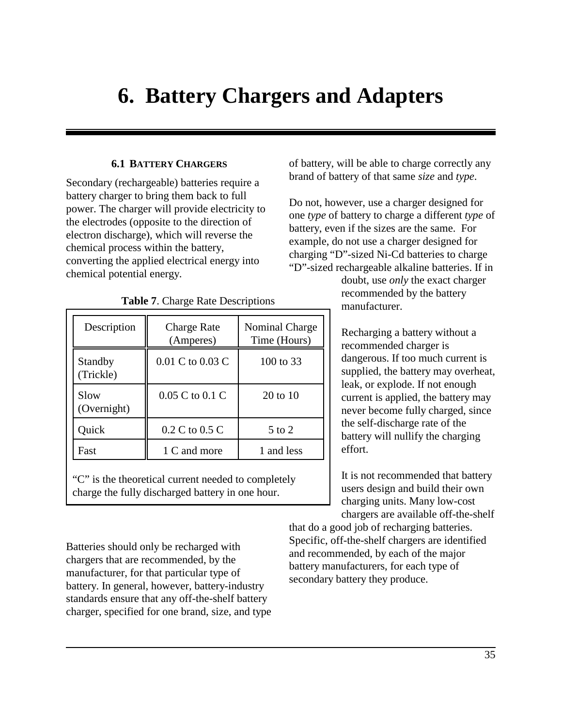# **6. Battery Chargers and Adapters**

### **6.1 BATTERY CHARGERS**

Secondary (rechargeable) batteries require a battery charger to bring them back to full power. The charger will provide electricity to the electrodes (opposite to the direction of electron discharge), which will reverse the chemical process within the battery, converting the applied electrical energy into chemical potential energy.

of battery, will be able to charge correctly any brand of battery of that same *size* and *type*.

Do not, however, use a charger designed for one *type* of battery to charge a different *type* of battery, even if the sizes are the same. For example, do not use a charger designed for charging "D"-sized Ni-Cd batteries to charge "D"-sized rechargeable alkaline batteries. If in

> doubt, use *only* the exact charger recommended by the battery manufacturer.

Recharging a battery without a recommended charger is dangerous. If too much current is supplied, the battery may overheat, leak, or explode. If not enough current is applied, the battery may never become fully charged, since the self-discharge rate of the battery will nullify the charging effort.

It is not recommended that battery users design and build their own charging units. Many low-cost chargers are available off-the-shelf

that do a good job of recharging batteries. Specific, off-the-shelf chargers are identified and recommended, by each of the major battery manufacturers, for each type of secondary battery they produce.

| Description          | <b>Charge Rate</b><br>(Amperes) | <b>Nominal Charge</b><br>Time (Hours) |  |
|----------------------|---------------------------------|---------------------------------------|--|
| Standby<br>(Trickle) | 0.01 C to 0.03 C                | 100 to 33                             |  |
| Slow<br>(Overnight)  | $0.05 C$ to $0.1 C$             | 20 to 10                              |  |
| Quick                | 0.2 C to 0.5 C                  | 5 to 2                                |  |
| Fast                 | 1 C and more                    | 1 and less                            |  |

"C" is the theoretical current needed to completely charge the fully discharged battery in one hour.

Batteries should only be recharged with chargers that are recommended, by the manufacturer, for that particular type of battery. In general, however, battery-industry standards ensure that any off-the-shelf battery charger, specified for one brand, size, and type

**Table 7**. Charge Rate Descriptions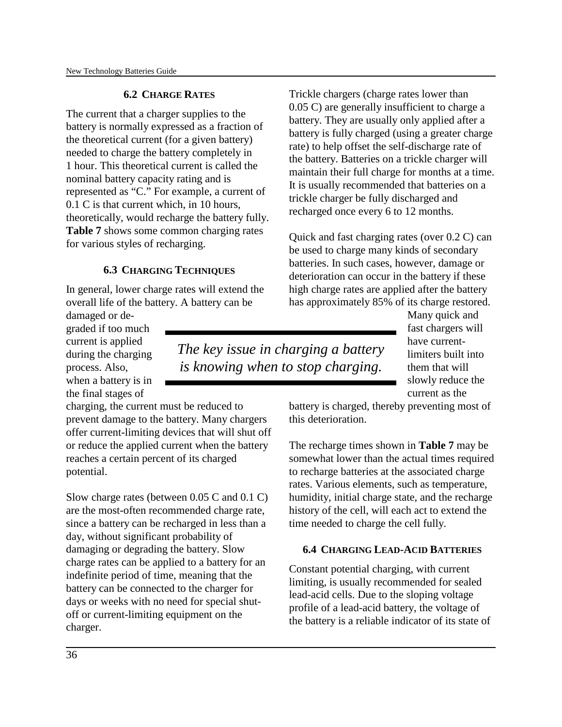#### **6.2 CHARGE RATES**

The current that a charger supplies to the battery is normally expressed as a fraction of the theoretical current (for a given battery) needed to charge the battery completely in 1 hour. This theoretical current is called the nominal battery capacity rating and is represented as "C." For example, a current of 0.1 C is that current which, in 10 hours, theoretically, would recharge the battery fully. **Table 7** shows some common charging rates for various styles of recharging.

#### **6.3 CHARGING TECHNIQUES**

In general, lower charge rates will extend the overall life of the battery. A battery can be

damaged or degraded if too much current is applied during the charging process. Also, when a battery is in the final stages of

charging, the current must be reduced to prevent damage to the battery. Many chargers offer current-limiting devices that will shut off or reduce the applied current when the battery reaches a certain percent of its charged potential.

Slow charge rates (between 0.05 C and 0.1 C) are the most-often recommended charge rate, since a battery can be recharged in less than a day, without significant probability of damaging or degrading the battery. Slow charge rates can be applied to a battery for an indefinite period of time, meaning that the battery can be connected to the charger for days or weeks with no need for special shutoff or current-limiting equipment on the charger.

Trickle chargers (charge rates lower than 0.05 C) are generally insufficient to charge a battery. They are usually only applied after a battery is fully charged (using a greater charge rate) to help offset the self-discharge rate of the battery. Batteries on a trickle charger will maintain their full charge for months at a time. It is usually recommended that batteries on a trickle charger be fully discharged and recharged once every 6 to 12 months.

Quick and fast charging rates (over 0.2 C) can be used to charge many kinds of secondary batteries. In such cases, however, damage or deterioration can occur in the battery if these high charge rates are applied after the battery has approximately 85% of its charge restored.

*The key issue in charging a battery is knowing when to stop charging.*

Many quick and fast chargers will have currentlimiters built into them that will slowly reduce the current as the

battery is charged, thereby preventing most of this deterioration.

The recharge times shown in **Table 7** may be somewhat lower than the actual times required to recharge batteries at the associated charge rates. Various elements, such as temperature, humidity, initial charge state, and the recharge history of the cell, will each act to extend the time needed to charge the cell fully.

#### **6.4 CHARGING LEAD-ACID BATTERIES**

Constant potential charging, with current limiting, is usually recommended for sealed lead-acid cells. Due to the sloping voltage profile of a lead-acid battery, the voltage of the battery is a reliable indicator of its state of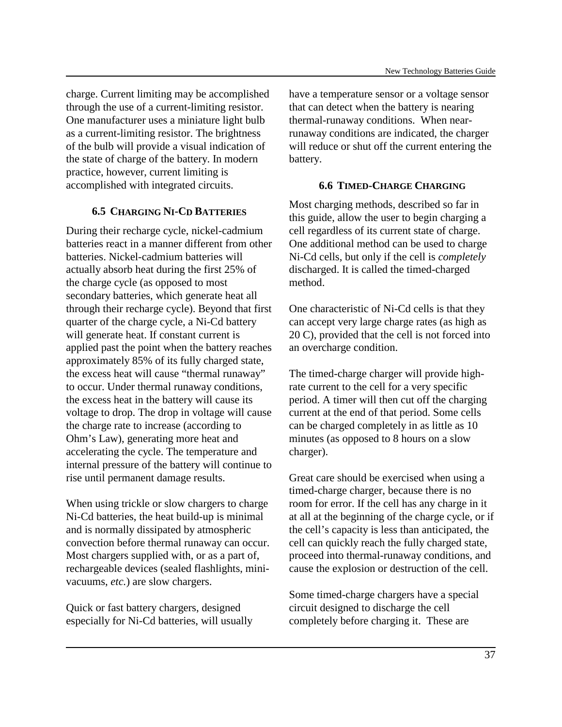charge. Current limiting may be accomplished through the use of a current-limiting resistor. One manufacturer uses a miniature light bulb as a current-limiting resistor. The brightness of the bulb will provide a visual indication of the state of charge of the battery. In modern practice, however, current limiting is accomplished with integrated circuits.

# **6.5 CHARGING NI-CD BATTERIES**

During their recharge cycle, nickel-cadmium batteries react in a manner different from other batteries. Nickel-cadmium batteries will actually absorb heat during the first 25% of the charge cycle (as opposed to most secondary batteries, which generate heat all through their recharge cycle). Beyond that first quarter of the charge cycle, a Ni-Cd battery will generate heat. If constant current is applied past the point when the battery reaches approximately 85% of its fully charged state, the excess heat will cause "thermal runaway" to occur. Under thermal runaway conditions, the excess heat in the battery will cause its voltage to drop. The drop in voltage will cause the charge rate to increase (according to Ohm's Law), generating more heat and accelerating the cycle. The temperature and internal pressure of the battery will continue to rise until permanent damage results.

When using trickle or slow chargers to charge Ni-Cd batteries, the heat build-up is minimal and is normally dissipated by atmospheric convection before thermal runaway can occur. Most chargers supplied with, or as a part of, rechargeable devices (sealed flashlights, minivacuums, *etc.*) are slow chargers.

Quick or fast battery chargers, designed especially for Ni-Cd batteries, will usually have a temperature sensor or a voltage sensor that can detect when the battery is nearing thermal-runaway conditions. When nearrunaway conditions are indicated, the charger will reduce or shut off the current entering the battery.

# **6.6 TIMED-CHARGE CHARGING**

Most charging methods, described so far in this guide, allow the user to begin charging a cell regardless of its current state of charge. One additional method can be used to charge Ni-Cd cells, but only if the cell is *completely* discharged. It is called the timed-charged method.

One characteristic of Ni-Cd cells is that they can accept very large charge rates (as high as 20 C), provided that the cell is not forced into an overcharge condition.

The timed-charge charger will provide highrate current to the cell for a very specific period. A timer will then cut off the charging current at the end of that period. Some cells can be charged completely in as little as 10 minutes (as opposed to 8 hours on a slow charger).

Great care should be exercised when using a timed-charge charger, because there is no room for error. If the cell has any charge in it at all at the beginning of the charge cycle, or if the cell's capacity is less than anticipated, the cell can quickly reach the fully charged state, proceed into thermal-runaway conditions, and cause the explosion or destruction of the cell.

Some timed-charge chargers have a special circuit designed to discharge the cell completely before charging it. These are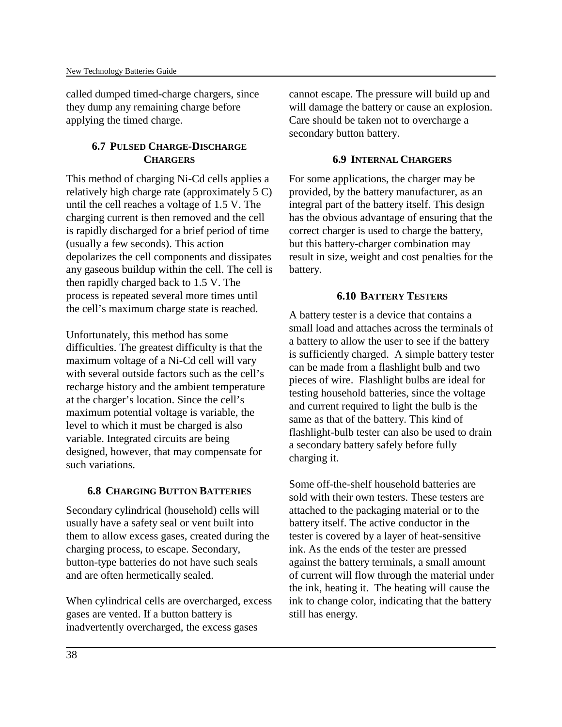called dumped timed-charge chargers, since they dump any remaining charge before applying the timed charge.

# **6.7 PULSED CHARGE-DISCHARGE CHARGERS**

This method of charging Ni-Cd cells applies a relatively high charge rate (approximately 5 C) until the cell reaches a voltage of 1.5 V. The charging current is then removed and the cell is rapidly discharged for a brief period of time (usually a few seconds). This action depolarizes the cell components and dissipates any gaseous buildup within the cell. The cell is then rapidly charged back to 1.5 V. The process is repeated several more times until the cell's maximum charge state is reached.

Unfortunately, this method has some difficulties. The greatest difficulty is that the maximum voltage of a Ni-Cd cell will vary with several outside factors such as the cell's recharge history and the ambient temperature at the charger's location. Since the cell's maximum potential voltage is variable, the level to which it must be charged is also variable. Integrated circuits are being designed, however, that may compensate for such variations.

# **6.8 CHARGING BUTTON BATTERIES**

Secondary cylindrical (household) cells will usually have a safety seal or vent built into them to allow excess gases, created during the charging process, to escape. Secondary, button-type batteries do not have such seals and are often hermetically sealed.

When cylindrical cells are overcharged, excess gases are vented. If a button battery is inadvertently overcharged, the excess gases

cannot escape. The pressure will build up and will damage the battery or cause an explosion. Care should be taken not to overcharge a secondary button battery.

# **6.9 INTERNAL CHARGERS**

For some applications, the charger may be provided, by the battery manufacturer, as an integral part of the battery itself. This design has the obvious advantage of ensuring that the correct charger is used to charge the battery, but this battery-charger combination may result in size, weight and cost penalties for the battery.

# **6.10 BATTERY TESTERS**

A battery tester is a device that contains a small load and attaches across the terminals of a battery to allow the user to see if the battery is sufficiently charged. A simple battery tester can be made from a flashlight bulb and two pieces of wire. Flashlight bulbs are ideal for testing household batteries, since the voltage and current required to light the bulb is the same as that of the battery. This kind of flashlight-bulb tester can also be used to drain a secondary battery safely before fully charging it.

Some off-the-shelf household batteries are sold with their own testers. These testers are attached to the packaging material or to the battery itself. The active conductor in the tester is covered by a layer of heat-sensitive ink. As the ends of the tester are pressed against the battery terminals, a small amount of current will flow through the material under the ink, heating it. The heating will cause the ink to change color, indicating that the battery still has energy.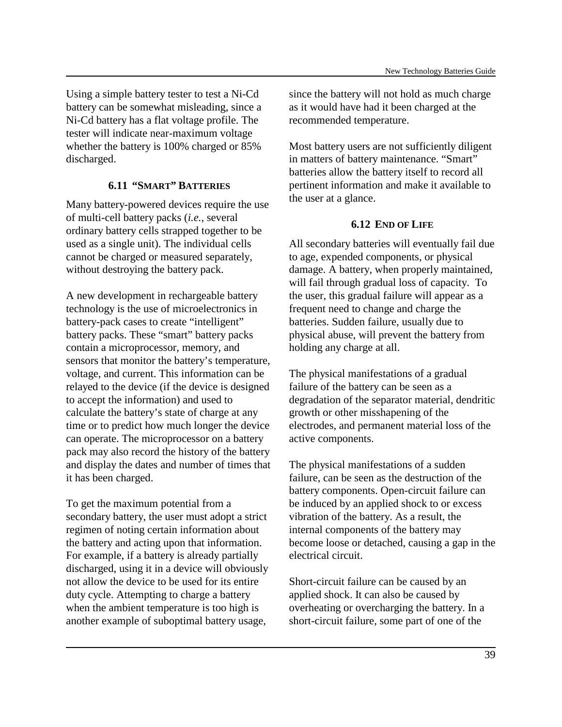Using a simple battery tester to test a Ni-Cd battery can be somewhat misleading, since a Ni-Cd battery has a flat voltage profile. The tester will indicate near-maximum voltage whether the battery is 100% charged or 85% discharged.

# **6.11 "SMART" BATTERIES**

Many battery-powered devices require the use of multi-cell battery packs (*i.e.*, several ordinary battery cells strapped together to be used as a single unit). The individual cells cannot be charged or measured separately, without destroying the battery pack.

A new development in rechargeable battery technology is the use of microelectronics in battery-pack cases to create "intelligent" battery packs. These "smart" battery packs contain a microprocessor, memory, and sensors that monitor the battery's temperature, voltage, and current. This information can be relayed to the device (if the device is designed to accept the information) and used to calculate the battery's state of charge at any time or to predict how much longer the device can operate. The microprocessor on a battery pack may also record the history of the battery and display the dates and number of times that it has been charged.

To get the maximum potential from a secondary battery, the user must adopt a strict regimen of noting certain information about the battery and acting upon that information. For example, if a battery is already partially discharged, using it in a device will obviously not allow the device to be used for its entire duty cycle. Attempting to charge a battery when the ambient temperature is too high is another example of suboptimal battery usage,

since the battery will not hold as much charge as it would have had it been charged at the recommended temperature.

Most battery users are not sufficiently diligent in matters of battery maintenance. "Smart" batteries allow the battery itself to record all pertinent information and make it available to the user at a glance.

# **6.12 END OF LIFE**

All secondary batteries will eventually fail due to age, expended components, or physical damage. A battery, when properly maintained, will fail through gradual loss of capacity. To the user, this gradual failure will appear as a frequent need to change and charge the batteries. Sudden failure, usually due to physical abuse, will prevent the battery from holding any charge at all.

The physical manifestations of a gradual failure of the battery can be seen as a degradation of the separator material, dendritic growth or other misshapening of the electrodes, and permanent material loss of the active components.

The physical manifestations of a sudden failure, can be seen as the destruction of the battery components. Open-circuit failure can be induced by an applied shock to or excess vibration of the battery. As a result, the internal components of the battery may become loose or detached, causing a gap in the electrical circuit.

Short-circuit failure can be caused by an applied shock. It can also be caused by overheating or overcharging the battery. In a short-circuit failure, some part of one of the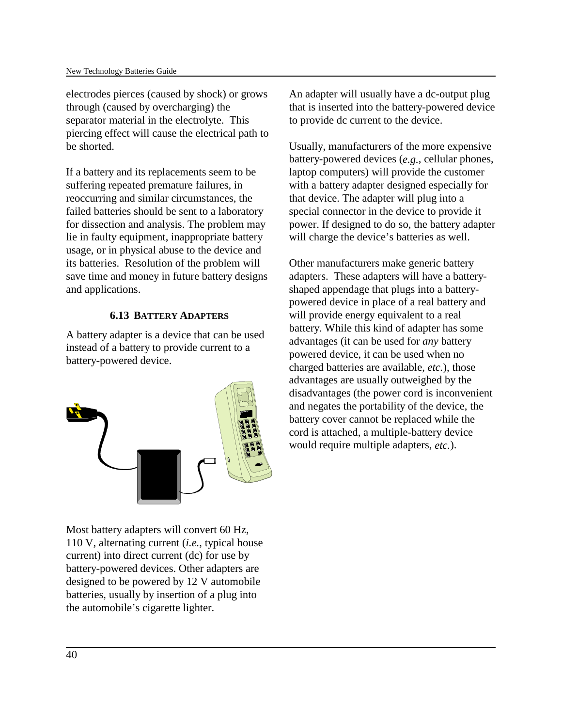electrodes pierces (caused by shock) or grows through (caused by overcharging) the separator material in the electrolyte. This piercing effect will cause the electrical path to be shorted.

If a battery and its replacements seem to be suffering repeated premature failures, in reoccurring and similar circumstances, the failed batteries should be sent to a laboratory for dissection and analysis. The problem may lie in faulty equipment, inappropriate battery usage, or in physical abuse to the device and its batteries. Resolution of the problem will save time and money in future battery designs and applications.

# **6.13 BATTERY ADAPTERS**

A battery adapter is a device that can be used instead of a battery to provide current to a battery-powered device.



Most battery adapters will convert 60 Hz, 110 V, alternating current (*i.e.*, typical house current) into direct current (dc) for use by battery-powered devices. Other adapters are designed to be powered by 12 V automobile batteries, usually by insertion of a plug into the automobile's cigarette lighter.

An adapter will usually have a dc-output plug that is inserted into the battery-powered device to provide dc current to the device.

Usually, manufacturers of the more expensive battery-powered devices (*e.g.*, cellular phones, laptop computers) will provide the customer with a battery adapter designed especially for that device. The adapter will plug into a special connector in the device to provide it power. If designed to do so, the battery adapter will charge the device's batteries as well.

Other manufacturers make generic battery adapters. These adapters will have a batteryshaped appendage that plugs into a batterypowered device in place of a real battery and will provide energy equivalent to a real battery. While this kind of adapter has some advantages (it can be used for *any* battery powered device, it can be used when no charged batteries are available, *etc.*), those advantages are usually outweighed by the disadvantages (the power cord is inconvenient and negates the portability of the device, the battery cover cannot be replaced while the cord is attached, a multiple-battery device would require multiple adapters, *etc.*).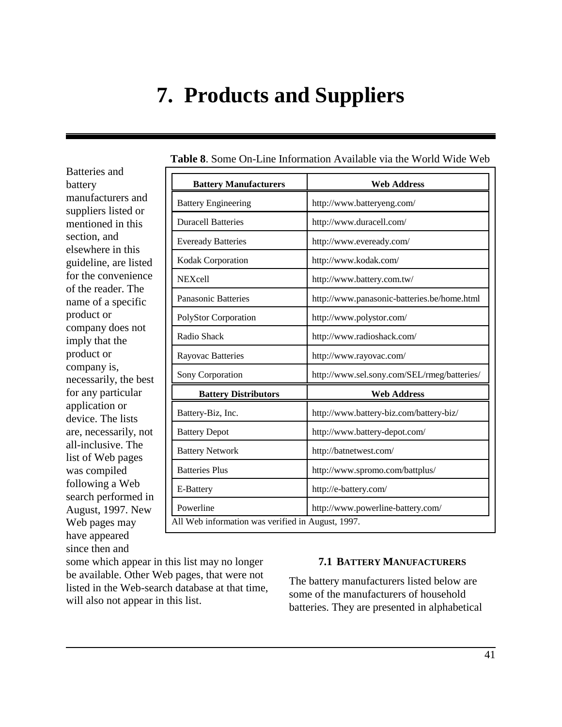# **7. Products and Suppliers**

| <b>Battery Manufacturers</b> | <b>Web Address</b>                          |  |  |
|------------------------------|---------------------------------------------|--|--|
| <b>Battery Engineering</b>   | http://www.batteryeng.com/                  |  |  |
| <b>Duracell Batteries</b>    | http://www.duracell.com/                    |  |  |
| <b>Eveready Batteries</b>    | http://www.eveready.com/                    |  |  |
| Kodak Corporation            | http://www.kodak.com/                       |  |  |
| <b>NEXcell</b>               | http://www.battery.com.tw/                  |  |  |
| <b>Panasonic Batteries</b>   | http://www.panasonic-batteries.be/home.html |  |  |
| PolyStor Corporation         | http://www.polystor.com/                    |  |  |
| Radio Shack                  | http://www.radioshack.com/                  |  |  |
| Rayovac Batteries            | http://www.rayovac.com/                     |  |  |
| Sony Corporation             | http://www.sel.sony.com/SEL/rmeg/batteries/ |  |  |
| <b>Battery Distributors</b>  | <b>Web Address</b>                          |  |  |
| Battery-Biz, Inc.            | http://www.battery-biz.com/battery-biz/     |  |  |
| <b>Battery Depot</b>         | http://www.battery-depot.com/               |  |  |
| <b>Battery Network</b>       | http://batnetwest.com/                      |  |  |
| <b>Batteries Plus</b>        | http://www.spromo.com/battplus/             |  |  |
| E-Battery                    | http://e-battery.com/                       |  |  |
| Powerline                    | http://www.powerline-battery.com/           |  |  |

**Table 8**. Some On-Line Information Available via the World Wide Web

some which appear in this list may no longer be available. Other Web pages, that were not listed in the Web-search database at that time, will also not appear in this list.

Batteries and

manufacturers and suppliers listed or mentioned in this section, and elsewhere in this guideline, are listed for the convenience of the reader. The name of a specific

battery

product or

company does not imply that the product or company is,

necessarily, the best for any particular application or device. The lists are, necessarily, not all-inclusive. The list of Web pages was compiled following a Web search performed in August, 1997. New Web pages may have appeared since then and

#### **7.1 BATTERY MANUFACTURERS**

The battery manufacturers listed below are some of the manufacturers of household batteries. They are presented in alphabetical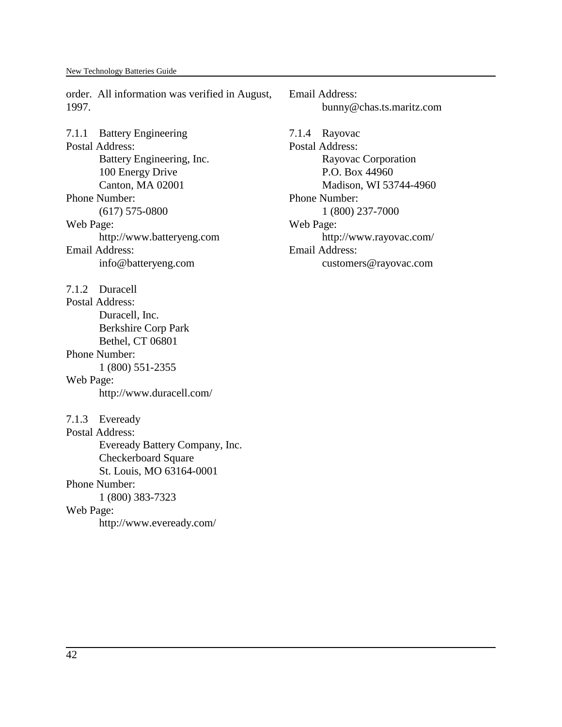order. All information was verified in August, 1997. 7.1.1 Battery Engineering Postal Address: Battery Engineering, Inc. 100 Energy Drive Canton, MA 02001 Phone Number: (617) 575-0800 Web Page: http://www.batteryeng.com Email Address: info@batteryeng.com 7.1.2 Duracell Postal Address: Duracell, Inc. Berkshire Corp Park Bethel, CT 06801 Phone Number: 1 (800) 551-2355 Web Page: http://www.duracell.com/ 7.1.3 Eveready Postal Address: Eveready Battery Company, Inc. Checkerboard Square St. Louis, MO 63164-0001 Phone Number: 1 (800) 383-7323 Web Page: http://www.eveready.com/

Email Address: bunny@chas.ts.maritz.com 7.1.4 Rayovac Postal Address: Rayovac Corporation P.O. Box 44960 Madison, WI 53744-4960 Phone Number: 1 (800) 237-7000 Web Page: http://www.rayovac.com/ Email Address: customers@rayovac.com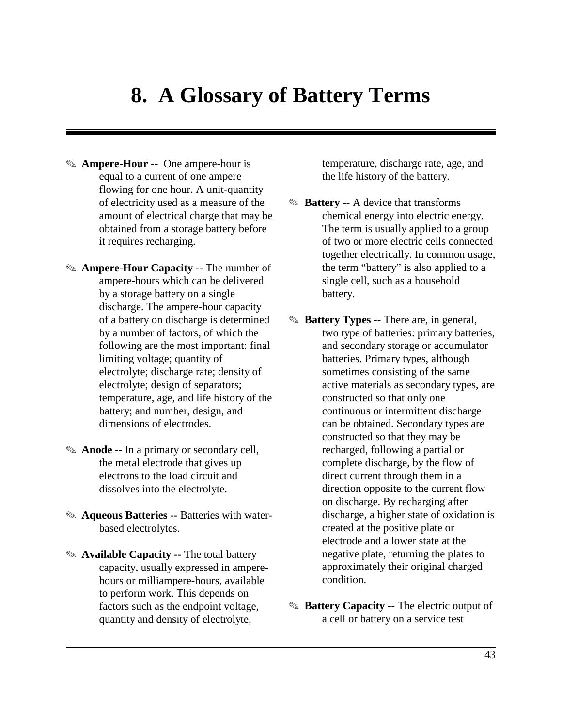# **8. A Glossary of Battery Terms**

- **2 Ampere-Hour --** One ampere-hour is equal to a current of one ampere flowing for one hour. A unit-quantity of electricity used as a measure of the amount of electrical charge that may be obtained from a storage battery before it requires recharging.
- **Example 2 Ampere-Hour Capacity -- The number of** ampere-hours which can be delivered by a storage battery on a single discharge. The ampere-hour capacity of a battery on discharge is determined by a number of factors, of which the following are the most important: final limiting voltage; quantity of electrolyte; discharge rate; density of electrolyte; design of separators; temperature, age, and life history of the battery; and number, design, and dimensions of electrodes.
- **Example --** In a primary or secondary cell, the metal electrode that gives up electrons to the load circuit and dissolves into the electrolyte.
- **2 Aqueous Batteries -- Batteries with water**based electrolytes.
- **Example 2** Available Capacity -- The total battery capacity, usually expressed in amperehours or milliampere-hours, available to perform work. This depends on factors such as the endpoint voltage, quantity and density of electrolyte,

temperature, discharge rate, age, and the life history of the battery.

- **Example 3 Battery --** A device that transforms chemical energy into electric energy. The term is usually applied to a group of two or more electric cells connected together electrically. In common usage, the term "battery" is also applied to a single cell, such as a household battery.
- **Example 3 Battery Types --** There are, in general, two type of batteries: primary batteries, and secondary storage or accumulator batteries. Primary types, although sometimes consisting of the same active materials as secondary types, are constructed so that only one continuous or intermittent discharge can be obtained. Secondary types are constructed so that they may be recharged, following a partial or complete discharge, by the flow of direct current through them in a direction opposite to the current flow on discharge. By recharging after discharge, a higher state of oxidation is created at the positive plate or electrode and a lower state at the negative plate, returning the plates to approximately their original charged condition.
- **Example 3 Battery Capacity -- The electric output of** a cell or battery on a service test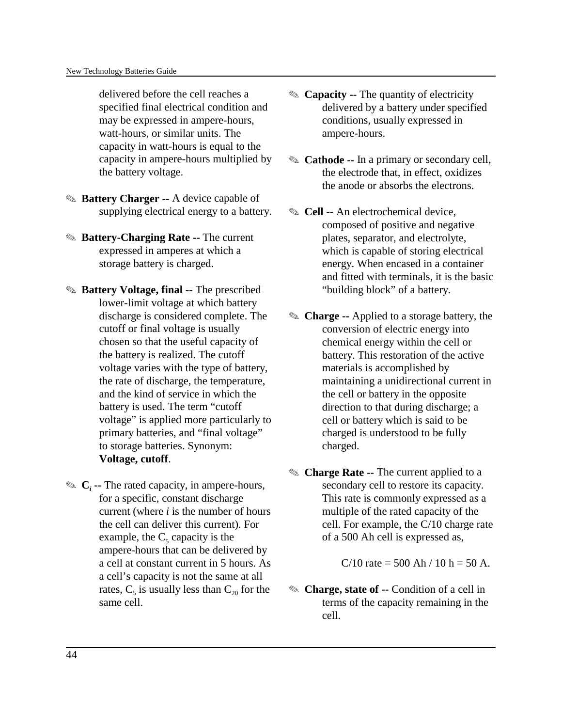delivered before the cell reaches a specified final electrical condition and may be expressed in ampere-hours, watt-hours, or similar units. The capacity in watt-hours is equal to the capacity in ampere-hours multiplied by the battery voltage.

- **Example 3 Battery Charger --** A device capable of supplying electrical energy to a battery.
- **Example 3 Battery-Charging Rate --** The current expressed in amperes at which a storage battery is charged.
- 2 **Battery Voltage, final --** The prescribed lower-limit voltage at which battery discharge is considered complete. The cutoff or final voltage is usually chosen so that the useful capacity of the battery is realized. The cutoff voltage varies with the type of battery, the rate of discharge, the temperature, and the kind of service in which the battery is used. The term "cutoff voltage" is applied more particularly to primary batteries, and "final voltage" to storage batteries. Synonym: **Voltage, cutoff**.
- $\mathcal{L}_i$  **--** The rated capacity, in ampere-hours, for a specific, constant discharge current (where *i* is the number of hours the cell can deliver this current). For example, the  $C_5$  capacity is the ampere-hours that can be delivered by a cell at constant current in 5 hours. As a cell's capacity is not the same at all rates,  $C_5$  is usually less than  $C_{20}$  for the same cell.
- **Example 2** Capacity -- The quantity of electricity delivered by a battery under specified conditions, usually expressed in ampere-hours.
- **Example 3** Cathode -- In a primary or secondary cell, the electrode that, in effect, oxidizes the anode or absorbs the electrons.
- **Eell --** An electrochemical device, composed of positive and negative plates, separator, and electrolyte, which is capable of storing electrical energy. When encased in a container and fitted with terminals, it is the basic "building block" of a battery.
- **Example 1** Charge -- Applied to a storage battery, the conversion of electric energy into chemical energy within the cell or battery. This restoration of the active materials is accomplished by maintaining a unidirectional current in the cell or battery in the opposite direction to that during discharge; a cell or battery which is said to be charged is understood to be fully charged.
- **Example 2** Charge Rate -- The current applied to a secondary cell to restore its capacity. This rate is commonly expressed as a multiple of the rated capacity of the cell. For example, the C/10 charge rate of a 500 Ah cell is expressed as,

C/10 rate =  $500$  Ah / 10 h =  $50$  A.

**Example 3 Charge, state of --** Condition of a cell in terms of the capacity remaining in the cell.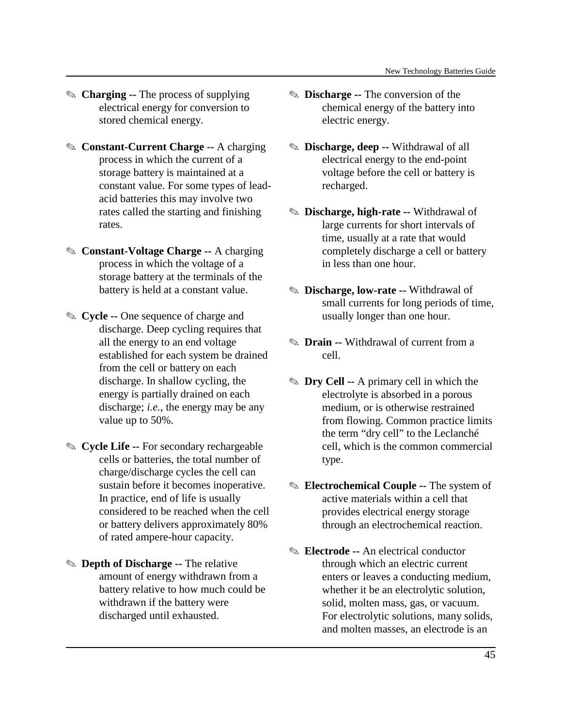- **Example 12 Charging --** The process of supplying electrical energy for conversion to stored chemical energy.
- **Example 2 Constant-Current Charge --** A charging process in which the current of a storage battery is maintained at a constant value. For some types of leadacid batteries this may involve two rates called the starting and finishing rates.
- 2 **Constant-Voltage Charge --** A charging process in which the voltage of a storage battery at the terminals of the battery is held at a constant value.
- **Excle --** One sequence of charge and discharge. Deep cycling requires that all the energy to an end voltage established for each system be drained from the cell or battery on each discharge. In shallow cycling, the energy is partially drained on each discharge; *i.e.*, the energy may be any value up to 50%.
- **Example 2 Cycle Life --** For secondary rechargeable cells or batteries, the total number of charge/discharge cycles the cell can sustain before it becomes inoperative. In practice, end of life is usually considered to be reached when the cell or battery delivers approximately 80% of rated ampere-hour capacity.
- **Example 1** Depth of Discharge -- The relative amount of energy withdrawn from a battery relative to how much could be withdrawn if the battery were discharged until exhausted.
- **Example 32 Discharge --** The conversion of the chemical energy of the battery into electric energy.
- 2 **Discharge, deep --** Withdrawal of all electrical energy to the end-point voltage before the cell or battery is recharged.
- **Example 2 Discharge, high-rate --** Withdrawal of large currents for short intervals of time, usually at a rate that would completely discharge a cell or battery in less than one hour.
- 2 **Discharge, low-rate --** Withdrawal of small currents for long periods of time, usually longer than one hour.
- **Drain --** Withdrawal of current from a cell.
- **Dry Cell --** A primary cell in which the electrolyte is absorbed in a porous medium, or is otherwise restrained from flowing. Common practice limits the term "dry cell" to the Leclanché cell, which is the common commercial type.
- **Electrochemical Couple --** The system of active materials within a cell that provides electrical energy storage through an electrochemical reaction.
- **Electrode --** An electrical conductor through which an electric current enters or leaves a conducting medium, whether it be an electrolytic solution, solid, molten mass, gas, or vacuum. For electrolytic solutions, many solids, and molten masses, an electrode is an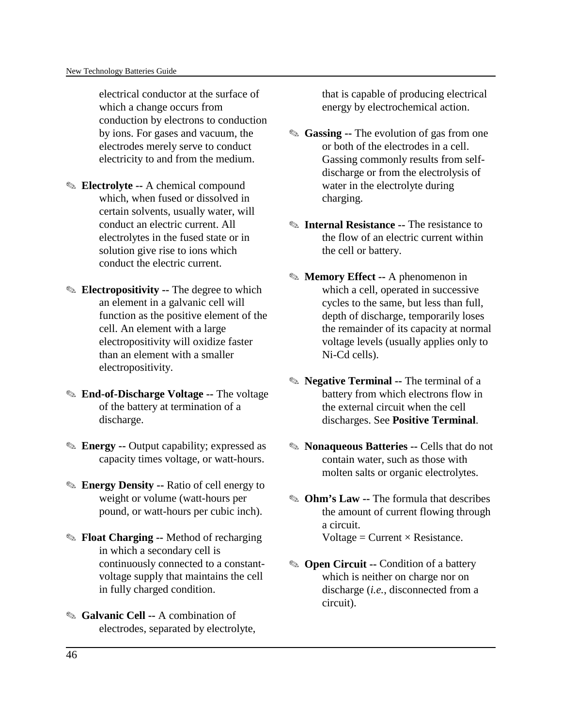electrical conductor at the surface of which a change occurs from conduction by electrons to conduction by ions. For gases and vacuum, the electrodes merely serve to conduct electricity to and from the medium.

- **Electrolyte --** A chemical compound which, when fused or dissolved in certain solvents, usually water, will conduct an electric current. All electrolytes in the fused state or in solution give rise to ions which conduct the electric current.
- **Electropositivity -- The degree to which** an element in a galvanic cell will function as the positive element of the cell. An element with a large electropositivity will oxidize faster than an element with a smaller electropositivity.
- **End-of-Discharge Voltage --** The voltage of the battery at termination of a discharge.
- **Energy --** Output capability; expressed as capacity times voltage, or watt-hours.
- **Energy Density -- Ratio of cell energy to** weight or volume (watt-hours per pound, or watt-hours per cubic inch).
- **Eloat Charging --** Method of recharging in which a secondary cell is continuously connected to a constantvoltage supply that maintains the cell in fully charged condition.
- 2 **Galvanic Cell --** A combination of electrodes, separated by electrolyte,

that is capable of producing electrical energy by electrochemical action.

- **Example 3** Gassing -- The evolution of gas from one or both of the electrodes in a cell. Gassing commonly results from selfdischarge or from the electrolysis of water in the electrolyte during charging.
- **Example 1 Internal Resistance --** The resistance to the flow of an electric current within the cell or battery.
- **Effect --** A phenomenon in which a cell, operated in successive cycles to the same, but less than full, depth of discharge, temporarily loses the remainder of its capacity at normal voltage levels (usually applies only to Ni-Cd cells).
- **Example 2 Secure 1 Negative Terminal --** The terminal of a battery from which electrons flow in the external circuit when the cell discharges. See **Positive Terminal**.
- 2 **Nonaqueous Batteries --** Cells that do not contain water, such as those with molten salts or organic electrolytes.
- **2 Ohm's Law -- The formula that describes** the amount of current flowing through a circuit.  $Voltage = Current \times Resistance.$
- **2 Open Circuit --** Condition of a battery which is neither on charge nor on discharge (*i.e.*, disconnected from a circuit).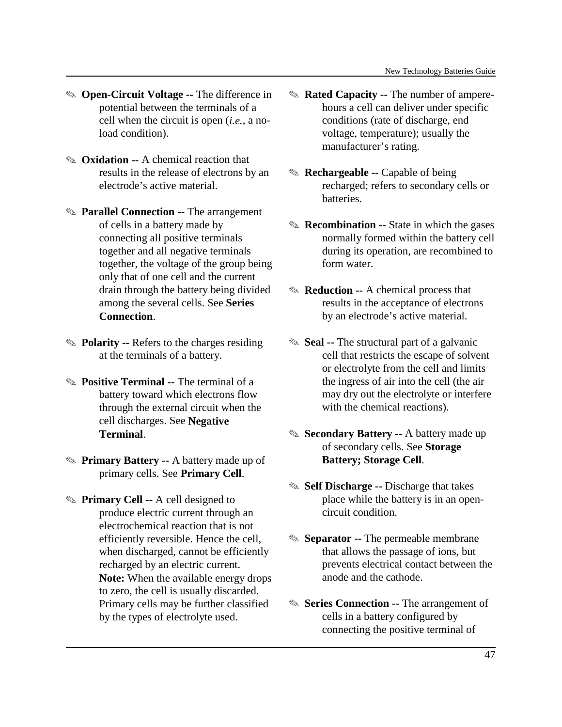- 2 **Open-Circuit Voltage --** The difference in potential between the terminals of a cell when the circuit is open (*i.e.*, a noload condition).
- **EXACTE:** Oxidation -- A chemical reaction that results in the release of electrons by an electrode's active material.
- **Example 2 Parallel Connection --** The arrangement of cells in a battery made by connecting all positive terminals together and all negative terminals together, the voltage of the group being only that of one cell and the current drain through the battery being divided among the several cells. See **Series Connection**.
- **2 Polarity --** Refers to the charges residing at the terminals of a battery.
- **Example 3 Positive Terminal --** The terminal of a battery toward which electrons flow through the external circuit when the cell discharges. See **Negative Terminal**.
- **Example 3 Primary Battery --** A battery made up of primary cells. See **Primary Cell**.
- **Example 2 Primary Cell --** A cell designed to produce electric current through an electrochemical reaction that is not efficiently reversible. Hence the cell, when discharged, cannot be efficiently recharged by an electric current. **Note:** When the available energy drops to zero, the cell is usually discarded. Primary cells may be further classified by the types of electrolyte used.
- **Exated Capacity -- The number of ampere**hours a cell can deliver under specific conditions (rate of discharge, end voltage, temperature); usually the manufacturer's rating.
- **Example 3 Rechargeable --** Capable of being recharged; refers to secondary cells or batteries.
- **Example 20 Recombination --** State in which the gases normally formed within the battery cell during its operation, are recombined to form water.
- **Example 2 Reduction --** A chemical process that results in the acceptance of electrons by an electrode's active material.
- **Example 3 Seal --** The structural part of a galvanic cell that restricts the escape of solvent or electrolyte from the cell and limits the ingress of air into the cell (the air may dry out the electrolyte or interfere with the chemical reactions).
- **Example 3 Secondary Battery --** A battery made up of secondary cells. See **Storage Battery; Storage Cell**.
- **Example 3 Self Discharge --** Discharge that takes place while the battery is in an opencircuit condition.
- **Example 3 Separator -- The permeable membrane** that allows the passage of ions, but prevents electrical contact between the anode and the cathode.
- **Example 3 Series Connection --** The arrangement of cells in a battery configured by connecting the positive terminal of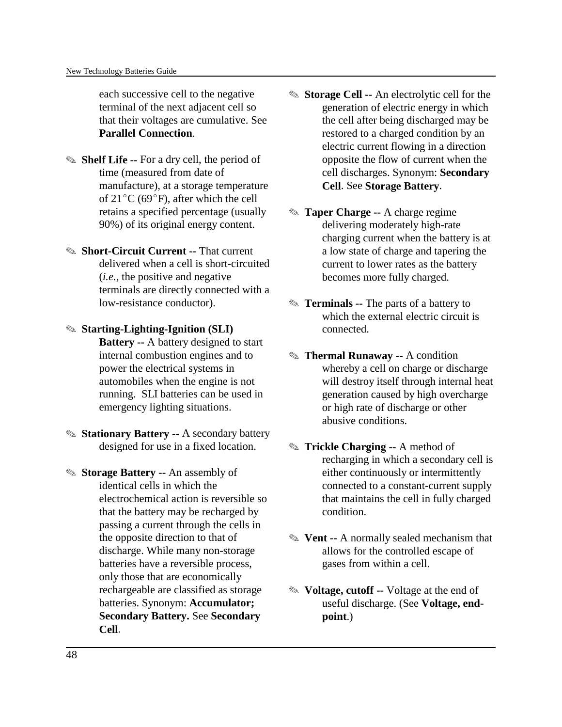each successive cell to the negative terminal of the next adjacent cell so that their voltages are cumulative. See **Parallel Connection**.

- **Example 3 Shelf Life --** For a dry cell, the period of time (measured from date of manufacture), at a storage temperature of  $21^{\circ}$ C (69 $^{\circ}$ F), after which the cell retains a specified percentage (usually 90%) of its original energy content.
- 2 **Short-Circuit Current --** That current delivered when a cell is short-circuited (*i.e.*, the positive and negative terminals are directly connected with a low-resistance conductor).
- 2 **Starting-Lighting-Ignition (SLI) Battery --** A battery designed to start internal combustion engines and to power the electrical systems in automobiles when the engine is not running. SLI batteries can be used in emergency lighting situations.
- **Example 3 Stationary Battery --** A secondary battery designed for use in a fixed location.
- 2 **Storage Battery --** An assembly of identical cells in which the electrochemical action is reversible so that the battery may be recharged by passing a current through the cells in the opposite direction to that of discharge. While many non-storage batteries have a reversible process, only those that are economically rechargeable are classified as storage batteries. Synonym: **Accumulator; Secondary Battery.** See **Secondary Cell**.
- **External Storage Cell --** An electrolytic cell for the generation of electric energy in which the cell after being discharged may be restored to a charged condition by an electric current flowing in a direction opposite the flow of current when the cell discharges. Synonym: **Secondary Cell**. See **Storage Battery**.
- **Example 7 Taper Charge --** A charge regime delivering moderately high-rate charging current when the battery is at a low state of charge and tapering the current to lower rates as the battery becomes more fully charged.
- **Example 3 Terminals --** The parts of a battery to which the external electric circuit is connected.
- 2 **Thermal Runaway --** A condition whereby a cell on charge or discharge will destroy itself through internal heat generation caused by high overcharge or high rate of discharge or other abusive conditions.
- **Example 2 Trickle Charging --** A method of recharging in which a secondary cell is either continuously or intermittently connected to a constant-current supply that maintains the cell in fully charged condition.
- **Example 3 Vent --** A normally sealed mechanism that allows for the controlled escape of gases from within a cell.
- $\triangle$  **Voltage, cutoff** -- Voltage at the end of useful discharge. (See **Voltage, endpoint**.)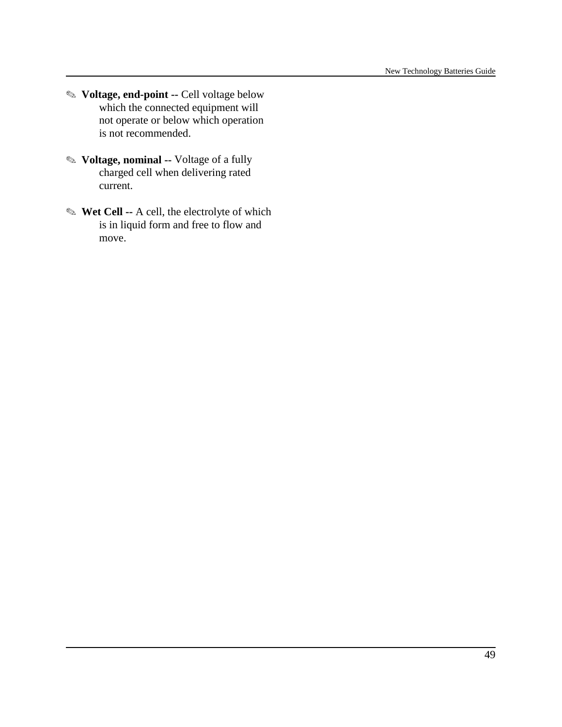- 2 **Voltage, end-point --** Cell voltage below which the connected equipment will not operate or below which operation is not recommended.
- 2 **Voltage, nominal --** Voltage of a fully charged cell when delivering rated current.
- 2 **Wet Cell --** A cell, the electrolyte of which is in liquid form and free to flow and move.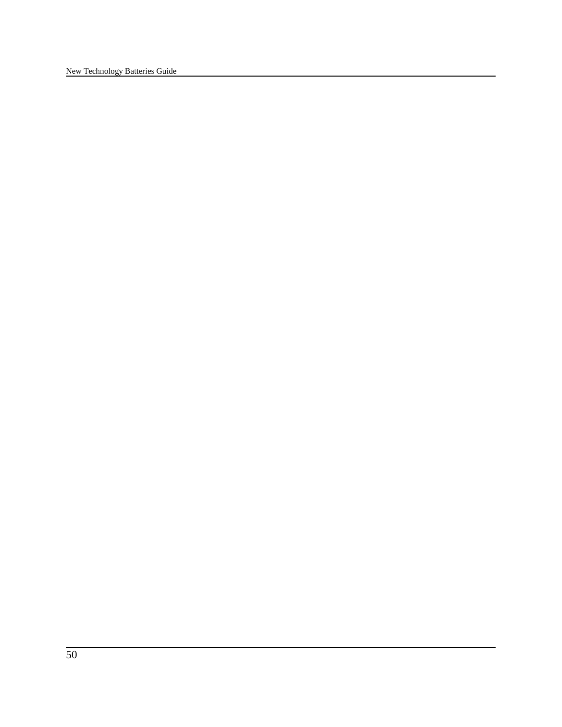New Technology Batteries Guide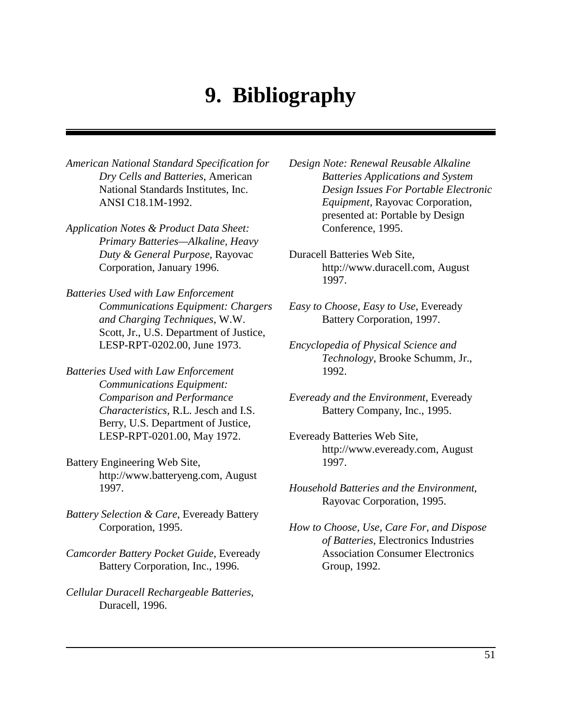# **9. Bibliography**

*American National Standard Specification for Dry Cells and Batteries*, American National Standards Institutes, Inc. ANSI C18.1M-1992.

- *Application Notes & Product Data Sheet: Primary Batteries—Alkaline, Heavy Duty & General Purpose*, Rayovac Corporation, January 1996.
- *Batteries Used with Law Enforcement Communications Equipment: Chargers and Charging Techniques*, W.W. Scott, Jr., U.S. Department of Justice, LESP-RPT-0202.00, June 1973.
- *Batteries Used with Law Enforcement Communications Equipment: Comparison and Performance Characteristics*, R.L. Jesch and I.S. Berry, U.S. Department of Justice, LESP-RPT-0201.00, May 1972.
- Battery Engineering Web Site, http://www.batteryeng.com, August 1997.
- *Battery Selection & Care*, Eveready Battery Corporation, 1995.
- *Camcorder Battery Pocket Guide*, Eveready Battery Corporation, Inc., 1996.
- *Cellular Duracell Rechargeable Batteries*, Duracell, 1996.
- *Design Note: Renewal Reusable Alkaline Batteries Applications and System Design Issues For Portable Electronic Equipment*, Rayovac Corporation, presented at: Portable by Design Conference, 1995.
- Duracell Batteries Web Site, http://www.duracell.com, August 1997.
- *Easy to Choose, Easy to Use*, Eveready Battery Corporation, 1997.
- *Encyclopedia of Physical Science and Technology*, Brooke Schumm, Jr., 1992.
- *Eveready and the Environment*, Eveready Battery Company, Inc., 1995.
- Eveready Batteries Web Site, http://www.eveready.com, August 1997.
- *Household Batteries and the Environment*, Rayovac Corporation, 1995.
- *How to Choose, Use, Care For, and Dispose of Batteries*, Electronics Industries Association Consumer Electronics Group, 1992.